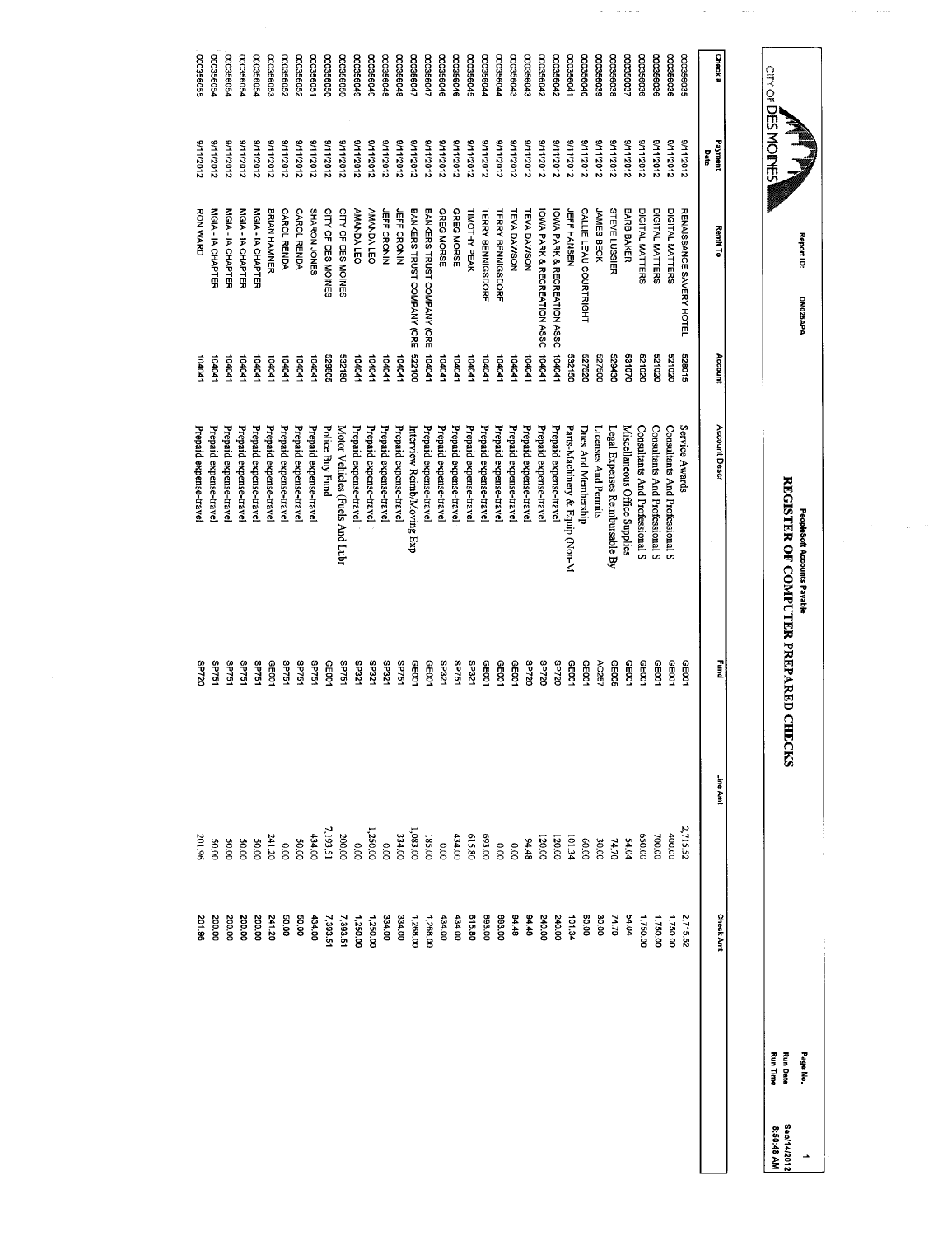| 10992000<br>000356046<br>000356045<br>10035604<br>100356047<br>000356046                                                                                    | 00035604<br>000356040<br>000356035<br>000356038<br>00035603<br>000356036<br>000356036<br>000356036<br>000356035<br>00035604:<br>00035604:<br>000356042<br>000356042<br>Date                                                                                                                                                                                                    |                                                                                                                                                                                                                                                                                                                                                                                                                                                                                                                                                                                                                                                                                                                                                                            |
|-------------------------------------------------------------------------------------------------------------------------------------------------------------|--------------------------------------------------------------------------------------------------------------------------------------------------------------------------------------------------------------------------------------------------------------------------------------------------------------------------------------------------------------------------------|----------------------------------------------------------------------------------------------------------------------------------------------------------------------------------------------------------------------------------------------------------------------------------------------------------------------------------------------------------------------------------------------------------------------------------------------------------------------------------------------------------------------------------------------------------------------------------------------------------------------------------------------------------------------------------------------------------------------------------------------------------------------------|
| BANKERS TRUST COMPANY (CRE<br>GREG MORSE<br>GREG MORSE<br>BANKERS TRUST COMPANY (CRE<br>TIMOTHY PEAK<br><b>TERRY BENNIGSDORF</b>                            | CALLIE LE'AU COURTRIGHT<br><b>STEVE LUSSIER</b><br>BARB BAKER<br>DIGITAL MATTERS<br>DIGITAL MATTERS<br>DIGITAL MATTERS<br>RENAISSANCE SAVERY HOTEL<br>JAMES BECK<br>TEVA DAWSON<br><b>TEVA DAWSON</b><br>IOWA PARK & RECREATION ASSC<br>IOMA PARK & RECREATION ASSC<br><b>JEFF HANSEN</b>                                                                                      |                                                                                                                                                                                                                                                                                                                                                                                                                                                                                                                                                                                                                                                                                                                                                                            |
| 001229<br>104041<br>10401<br>104041<br>104041<br>10401                                                                                                      | 104041<br>104041<br>528015<br>081629<br>521020<br>532150<br>527520<br>005125<br>531070<br>020129<br>020129<br>104041<br>10404                                                                                                                                                                                                                                                  |                                                                                                                                                                                                                                                                                                                                                                                                                                                                                                                                                                                                                                                                                                                                                                            |
| Prepaid expense-travel<br>Prepaid expense-trave<br>Prepaid expense-travel<br>Prepaid expense-travel<br>Prepaid expense-travel<br>Interview Reimb/Moving Exp | Parts-Machinery & Equip (Non-M<br>Consultants And Professional S<br>Consultants And Professional S<br>Consultants And Professional S<br>Service Awards<br>Prepaid expense-trave<br>Prepaid expense-trave<br>Prepaid expense-travel<br>Prepaid expense-travel<br>Miscellaneous Office Supplies<br>Licenses And Permits<br>Legal Expenses Reimbursable By<br>Dues And Membership |                                                                                                                                                                                                                                                                                                                                                                                                                                                                                                                                                                                                                                                                                                                                                                            |
| <b>12231</b><br><b>SP751</b><br><b>SP321</b><br>GE001<br><b>GE001</b><br>CE001                                                                              | GE005<br>CED01<br>GE00<br><b>SP720</b><br>0Z/dS<br><b>SP720</b><br>06101<br>GE001<br>AG257<br>GEDO1<br>CED01<br>0010<br>GE001                                                                                                                                                                                                                                                  | ning<br>P                                                                                                                                                                                                                                                                                                                                                                                                                                                                                                                                                                                                                                                                                                                                                                  |
|                                                                                                                                                             | 2,715.52<br>400.0C<br>00'059<br>700.00<br>54.04                                                                                                                                                                                                                                                                                                                                |                                                                                                                                                                                                                                                                                                                                                                                                                                                                                                                                                                                                                                                                                                                                                                            |
|                                                                                                                                                             | 2,715.52<br>54.04<br>1,750.00<br>1,750.00<br>1,750.00                                                                                                                                                                                                                                                                                                                          | <b>Check Amt</b>                                                                                                                                                                                                                                                                                                                                                                                                                                                                                                                                                                                                                                                                                                                                                           |
|                                                                                                                                                             | 000356048<br>21112012<br>3/11/2012<br>21112012<br>21112012<br>21112012<br>2102/11/6<br>8/11/2012<br><b>JEFF CRONIN</b><br>10401<br>Prepaid expense-travel<br>Prepaid expense-trave<br>SP75                                                                                                                                                                                     | Check#<br>10935000<br>8/11/2012<br>2102/11/16<br>8/11/2012<br>21112012<br>8/11/2012<br>2102/11/6<br>211/2012<br>2102/11/6<br>Payment<br>31112012<br>3/11/2012<br>21102/11/16<br>3/11/2012<br>2102/11/16<br>3/11/2012<br><b>TERRY BENNIGSDORF</b><br><b>Remit To</b><br>Account<br>104041<br>Account Descr<br>CE001<br>Line Amt<br>$\begin{smallmatrix} \texttt{1} & \texttt{2} & \texttt{3} & \texttt{4} & \texttt{3} & \texttt{3} & \texttt{4} & \texttt{5} \\ \texttt{2} & \texttt{3} & \texttt{4} & \texttt{5} & \texttt{5} & \texttt{6} & \texttt{7} & \texttt{8} \\ \texttt{3} & \texttt{4} & \texttt{5} & \texttt{5} & \texttt{6} & \texttt{7} & \texttt{8} \\ \texttt{4} & \texttt{5} & \texttt{6} & \texttt{7} & \texttt{8} & \texttt{8} & \texttt{8} \\ \texttt{$ |

Report 10:

**CITY OF DES MOINES** 

 $\sim$ 

 $\langle \omega_{\rm s} \rangle$  and  $\omega_{\rm s}$ 

 $\sim$ 

 $\label{eq:1} \frac{1}{\sqrt{2}}\left(\frac{1}{\sqrt{2}}\right)^{2} \left(\frac{1}{2}\right)^{2} \left(\frac{1}{2}\right)^{2} \left(\frac{1}{2}\right)^{2} \left(\frac{1}{2}\right)^{2} \left(\frac{1}{2}\right)^{2} \left(\frac{1}{2}\right)^{2} \left(\frac{1}{2}\right)^{2} \left(\frac{1}{2}\right)^{2} \left(\frac{1}{2}\right)^{2} \left(\frac{1}{2}\right)^{2} \left(\frac{1}{2}\right)^{2} \left(\frac{1}{2}\right)^{2} \left(\frac{1}{2}\right)^{2} \left(\$ 

DM025APA

DM025APA

PeopleSoft Accunts Payable

REGISTER OF COMPUTER PREPARED CHECKS

PeopleSoft Accounts Payable<br>REGISTER OF COMPUTER PREPARED CHECKS

Page No.

Run Date

Run Time

Sep/14/2012

1<br>Sep/14/2012<br>8:50:48 AM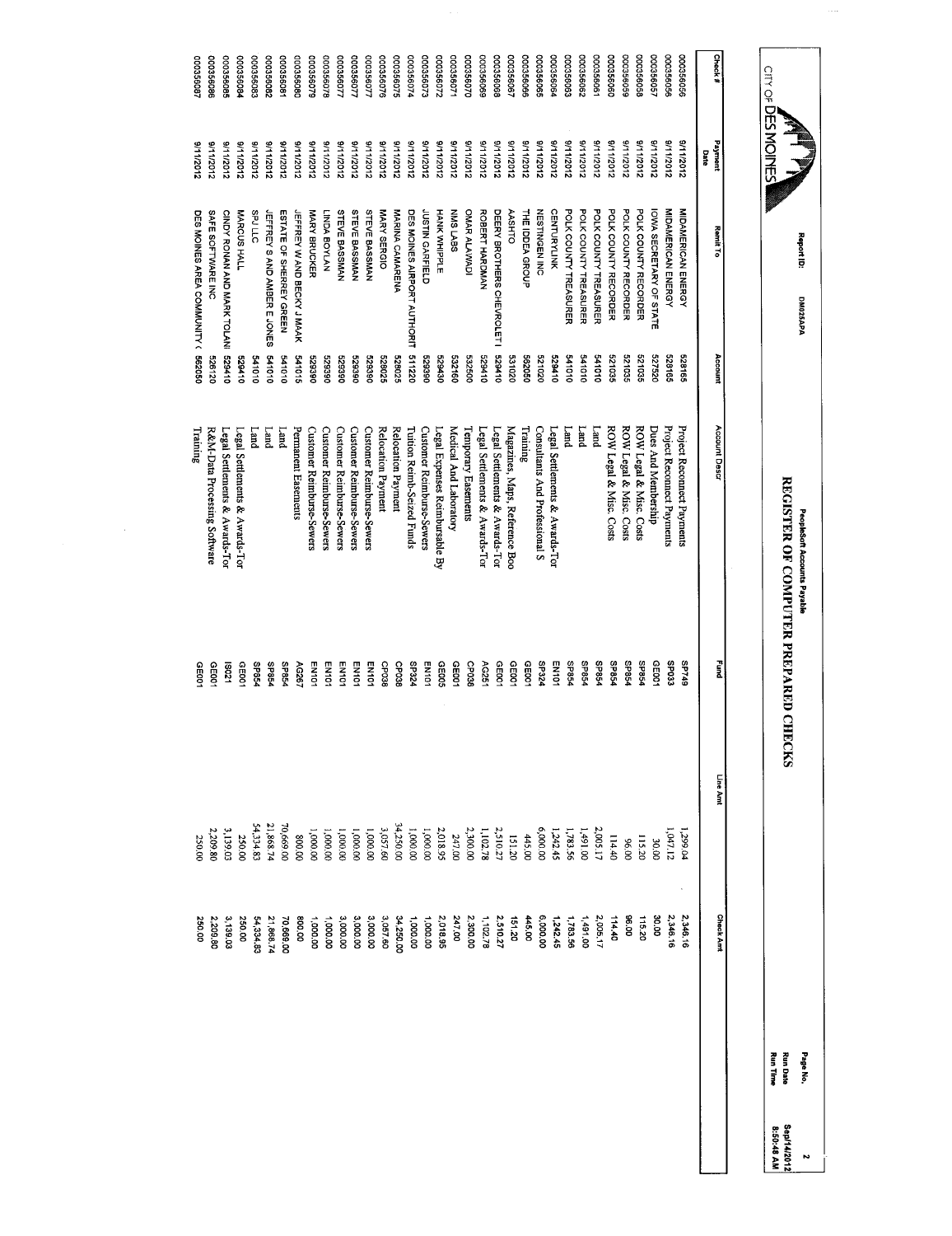| Check#    | Payment<br>Date | Remit To                           | Account | Account Desar                    | n<br>E       | Line Amt                  | <b>Chack Amt</b>   |  |
|-----------|-----------------|------------------------------------|---------|----------------------------------|--------------|---------------------------|--------------------|--|
| 000356056 | 2102/11/16      | MIDAMERICAN ENERGY                 | 528165  | Project Reconnect Payments       | <b>61/4S</b> | 1,299.04                  | 2,346.16           |  |
| 000356056 | 8/11/2012       | MIDAMERICAN ENERGY                 | 528165  | Project Reconnect Payments       | <b>SP033</b> | 1,047.12                  | 2,346.16           |  |
| 00035605  | 81112012        | IOWA SECRETARY OF STATE            | 527520  | Dues And Membership              | GE001        | 30.00                     | 30.00              |  |
| 100356058 | 2102/11/6       | POLK COUNTY RECORDER               | 521035  | ROW Legal & Misc. Costs          | <b>SP854</b> | 115.20                    | 115.20             |  |
| 000356059 | 9/11/2012       | POLK COUNTY RECORDER               | 521035  | ROW Legal & Misc. Costs          | <b>SP854</b> | 00'96                     | <b>00 96</b>       |  |
| 00035606C | 8/11/2012       | POLK COUNTY RECORDER               | 521035  | ROW Legal & Misc. Costs          | <b>SP854</b> | 114.40                    | 114.40             |  |
| 000356061 | 3/11/2012       | POLK COUNTY TREASURER              | 01019   | puu <sub>T</sub>                 | SP854        | 2,005.17                  | 2,005.17           |  |
| 000356062 | 31112012        | POLK COUNTY TREASURER              | 010179  | Land                             | <b>SP854</b> | 1,491.00                  | 1,491.00           |  |
| 000356063 | 3/11/2012       | POLK COUNTY TREASURER              | 010119  | Land                             | <b>SP854</b> | 1,783.56<br>1,242.45      | 1,783.56           |  |
| 0035606   | 3/11/2012       | <b>CENTURYLINK</b>                 | 529410  | Legal Settlements & Awards-Tor   | EN101        |                           | 1,242.45           |  |
| 00356069  | 211/2012        | <b>NESTINGEN INC</b>               | 521020  | Consultants And Professional S   | <b>SP324</b> | 6,000.00                  | 6,000.00           |  |
| 000356066 | 3/11/2012       | THE IDDEA GROUP                    | 0930299 | Training                         | GEDO1        | 445.00                    | 445.00             |  |
| 000356067 | 2102/11/6       | <b>AASHTO</b>                      | 331020  | Magazines, Maps, Reference Boo   | GE001        | 151.20                    | 151.20             |  |
| 000356066 | 8/11/2012       | DEERY BROTHERS CHEVROLET I         | 011629  | Legal Settlements & Awards-Tor   | CE001        | 2,510.27                  | 2,510.27           |  |
| 00356066  | 8/1/2012        | ROBERT HARDMAN                     | 017829  | Legal Settlements & Awards-Tor   | AG251        | 1,102.78                  | 1.102.78           |  |
| 00035607C | 21112012        | OMAR ALAWADI                       | 532500  | Temporary Easements              | CP038        | 2,300.00                  | 2,300.00           |  |
| 00035607  | 21112012        | NNS LABS                           | 091259  | Medical And Laboratory           | GE001        | 247.00                    | 247.00             |  |
| 000356072 | 21112012        | HANK NHPPLE                        | 029430  | Legal Expenses Reimbursable By   | GE005        | 2,018.95                  | 2,018.95           |  |
| 000356073 | 21112012        | JUSTIN GARFIELD                    | 088829  | Customer Reimburse-Sewers        | EN101        | 1,000.00                  | 1,000.00           |  |
| 000356074 | 3/11/2012       | DES MOINES AIRPORT AUTHORIT        | 511220  | Tuition Reimb-Seized Funds       | SP324        | 1,000.00                  | 1,000.00           |  |
| 000356075 | 3/11/2012       | MARINA CAMARENA                    | 528025  | Relocation Payment               | CP038        | 34,250.00                 | 34,250.00          |  |
| 000356076 | 31112012        | MARY SERGIO                        | 528025  | Relocation Payment               | CPO38        | 3,057.60                  | 3,057.60           |  |
| 000356077 | 211/2012        | STEVE BASSMAN                      | 088629  | Customer Reimburse-Sewers        | EN101        | 1,000.00                  | 3,000.00           |  |
| 10993000  | 8/11/2012       | STEVE BASSMAN                      | 088829  | <b>Customer Reimburse-Sewers</b> | EN101        | 1,000.00                  | 3,000.00           |  |
| 000356077 | 81112012        | <b>STEVE BASSMAN</b>               | 066629  | Customer Reimburse-Sewers        | EN101        | 00'000'I                  | 3,000.00           |  |
| 000356078 | 8/11/2012       | <b>INATYOB ACKLI</b>               | 062629  | Customer Reimburse-Sewers        | <b>EN101</b> | 1,000.00                  | 1,000.00           |  |
| 000356079 | 8/11/2012       | MARY BRUCKER                       | 082625  | Customer Reimburse-Sewers        | EN101        | 1,000.00                  | 1,000,00           |  |
| 000356080 | 21112012        | <b>JEFFREY WAND BECKY JMAAK</b>    | 541015  | Permanent Easements              | AG267        | 00'008                    | 800.00             |  |
| 000356081 | 3/11/2012       | ESTATE OF SHERREY GREEN            | 010159  | Land                             | <b>SP854</b> | 0,669.00                  | 70,669.00          |  |
| 280999000 | 21112012        | <b>IEFFREY SAND AMBER E JONES</b>  | 541010  | $L$ and                          | SP854        | 21,868.74                 | 21,868.74          |  |
| 000356083 | 9/11/2012       | SPJ LLC                            | 01019   | <b>Land</b>                      | <b>SP854</b> | 54,334.83                 | 54,334.83          |  |
| 000356084 | 811/2012        | MARCUS HALL                        | 011629  | Legal Settlements & Awards-Tor   | GE001        | 250.00                    | 250.00             |  |
| 000356085 | 2102/11/16      | CINDY RONAN AND MARK TOLANI 529410 |         | egal Settlements & Awards-Tor    | 12031        | 3,139.03                  | 3,139.03           |  |
| 000356086 | 01112012        | SAFE SOFTWARE INC                  | 526120  | R&M-Data Processing Software     | GE00<br>i    | 2,209.80<br>$\frac{1}{2}$ | i<br>S<br>2,209.80 |  |
|           |                 |                                    |         |                                  |              |                           |                    |  |

 $\mathcal{L}_{\mathcal{I}}$ 

000356087

180995000

9/11/2012

9/11/2012

DES MOINES AREA COMMUNITY ( 562050

DES MOINES AREA COMMUNITY (562050

Training

GE001

250.00

250.00

PeopleSoft Accounts Payable<br>REGISTER OF COMPUTER PREPARED CHECKS REGISTER OF COMPUTER PREPARED CHECKS Peopleoft Accounts Payable

Page No. Run Date Sepf14/2012' Run Time 8:50:48 AM

2<br>Sep/14/2012<br>8:50:48 AM

 $\sim$ 

**CITY OF DES MOINES** 

Report 10:

DM025APA DM025APA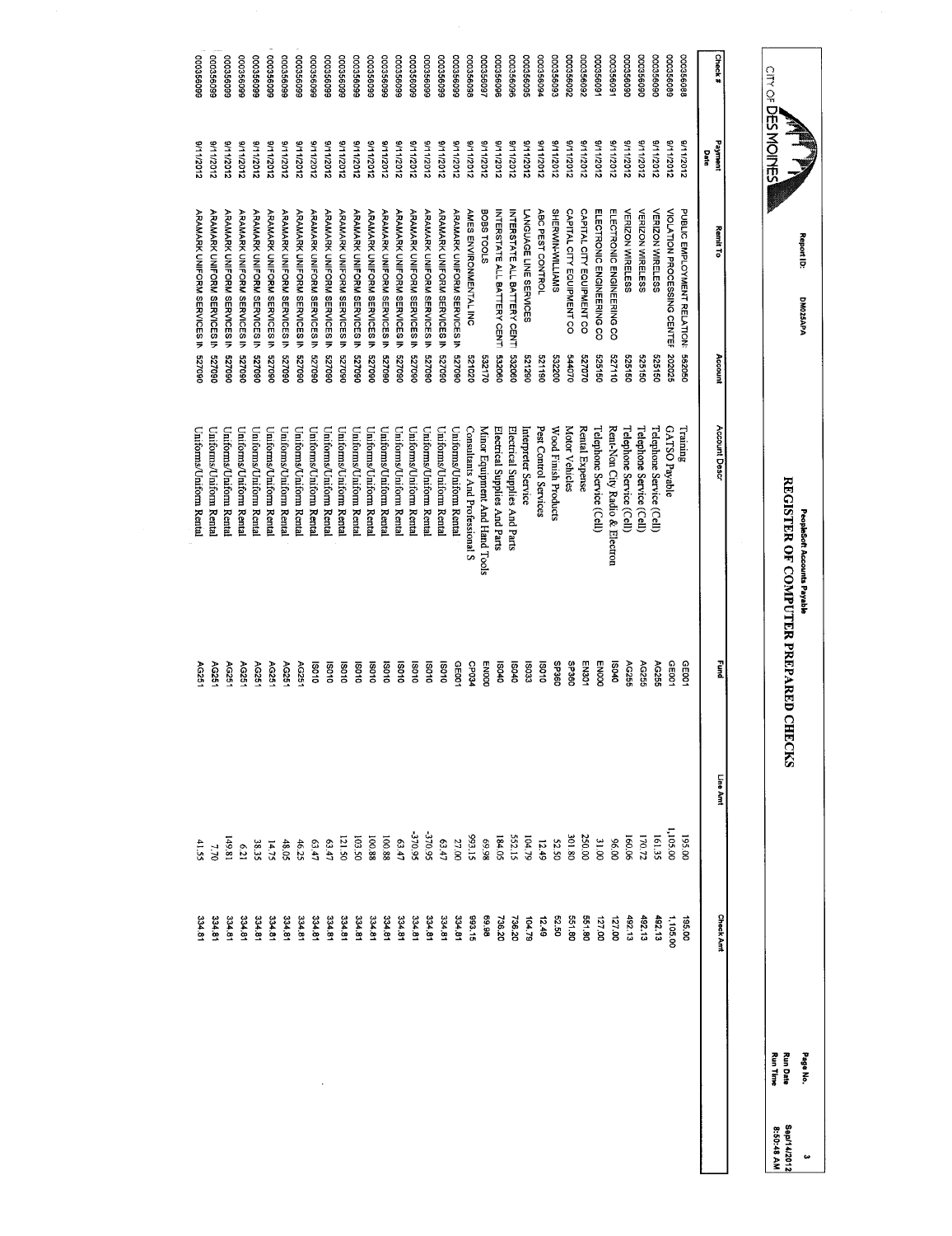|                       | CITY OF DESNOINES<br>≅<br>-<br>- |                                                   |                  | REGISTER OF COMPUTER PREPARED CHECKS                            |                       |                      |                  | <b>Run Time</b><br><b>Run Date</b> |
|-----------------------|----------------------------------|---------------------------------------------------|------------------|-----------------------------------------------------------------|-----------------------|----------------------|------------------|------------------------------------|
|                       |                                  |                                                   |                  |                                                                 |                       |                      |                  |                                    |
| Check#                | Payment<br>Date                  | Remit To                                          | Account          | Account Descr                                                   | Euro                  | Line Amt             | <b>Check Amt</b> |                                    |
| 000356088             | 21102/11/15                      | PUBLIC EMPLOYMENT RELATION:                       | 562050           | Training                                                        | GE00                  | 195.00               | 195.00           |                                    |
| 000356086             | 311/2012                         | VIOLATION PROCESSING CENTER                       | 202026           | GATSO Payable                                                   | CE001                 | 1,105.00             | 1,105.00         |                                    |
| 00035609C             | 2102/11/16                       | <b>VERIZON WIRELESS</b>                           | 525150           | Telephone Service (Cell)                                        | AG255                 | 161.35               | 492.13           |                                    |
| 000356090             | 8/11/2012                        | <b>VERIZON WIRELESS</b>                           | 091959           | Telephone Service (Cell)                                        | AC255                 | 170.72               | 492.13           |                                    |
| 000356090             | 3/11/2012                        | <b>VERIZON WIRELESS</b>                           | 525150           | Telephone Service (Cell)                                        | AG255                 | 160.06               | $-02.13$         |                                    |
| 00035609              | 8/112012                         | ELECTRONIC ENGINEERING CO                         | 527110           | Rent-Non City Radio & Electron                                  | 040SI                 | <b>96.00</b>         | 127.00           |                                    |
| 00035609              | 2102/11/16                       | ELECTRONIC ENGINEERING CO                         | 525150           | Telephone Service (Cell)                                        | <b>ENOOO</b>          | 31.00                | 127.00           |                                    |
| 760999000             | 21112012                         | CAPITAL CITY EQUIPMENT CO                         | 0237070          | Rental Expense                                                  | EN301                 | 250.00               | 551.80           |                                    |
| 260999000             | 21112012                         | CAPITAL CITY EQUIPMENT CO                         | 0/0119           | <b>Motor Vehicles</b>                                           | <b>SP360</b>          | 301.80               | 551.80           |                                    |
| 000356093             | 2112012                          | SHERWIN-WILLIAMS                                  | 532200           | Wood Finish Products                                            | <b>C96dS</b>          | S2.50                | 52.50            |                                    |
| 00035609              | 211/2012                         | ABC PEST CONTROL                                  | 521190           | Pest Control Services                                           | 01081                 | 12.49                | 12.49            |                                    |
| 000356099             | 21112012                         | LANGUAGE LINE SERVICES                            | 0621290          | Interpreter Service                                             | <b>IS033</b>          | 104.79               | 104.79           |                                    |
| 000356096             | 8/11/2012                        | INTERSTATE ALL BATTERY CENTI                      | 532060           | Electrical Supplies And Parts                                   | 070SI                 | 552.15<br>184.05     | 738.20<br>736.20 |                                    |
| 000356096<br>00035609 | 2112012<br>8/11/2012             | <b>BOBS TOOLS</b><br>INTERSTATE ALL BATTERY CENTI | 090289<br>532170 | Minor Equipment And Hand Tools<br>Electrical Supplies And Parts | <b>ENOOD</b><br>18040 | 86'69                | 86.98            |                                    |
| 000356098             | 8/11/2012                        | AMES ENVIRONMENTAL INC                            | 020129           | Consultants And Professional S                                  | <b>CP034</b>          | \$1.15               | 393.15           |                                    |
| 000356099             | 9/11/2012                        | <b>ARAMARK UNIFORM SERVICES IN</b>                | 060229           | Uniforms/Uniform Rental                                         | CE001                 | 27.00                | 334.81           |                                    |
| 000356099             | 21112012                         | ARAMARK UNIFORM SERVICES IN                       | 060229           | Uniforms/Uniform Rental                                         | 010SI                 | $63.47$<br>$-370.95$ | 334.81           |                                    |
| 000356099             | 3/11/2012                        | <b>ARAMARK UNIFORM SERVICES IN</b>                | 060239           | Uniforms/Uniform Renta                                          | 010SI                 |                      | 334,81           |                                    |
| 909356099             | 21112012                         | <b>ARAMARK CNIFORM SERVICES IN</b>                | 060/29           | Uniforms/Uniform Rental                                         | 010SI                 | 370.95               | 334.81           |                                    |
| 000356099             | 211/2012                         | <b>ARAMARK UNIFORM SERVICES IN</b>                | 060239           | Uniforms/Uniform Renta                                          | 01081                 | 63.47                | 334.81           |                                    |
| 000356096             | 21112012                         | ARAMARK CNIFORM SERVICES IN                       | 060229           | Uniforms/Uniform Rental                                         | 010SI                 | 100.88<br>100.88     | 334.81           |                                    |
| 360996000             | 21112012                         | <b>ARAMARK UNIFORM SERVICES IN</b>                | 060229           | Uniforms/Uniform Renta                                          | 19010                 |                      | 334.81           |                                    |
| 000356096             | 211/2012                         | ARAMARK CHOLORM SERVICES IN 527090                |                  | Uniforms/Uniform Rental                                         | 010SI                 | 103.50               | 334.81           |                                    |
| 000356096             | 21112012                         | <b>ARAMARK UNIFORM SERVICES IN</b>                | 060239           | Uniforms/Uniform Rental                                         | 010SI                 | 121.50               | 334.81           |                                    |
| 000356099             | 9/11/2012                        | <b>ARAMARK UNIFORM SERVICES IN</b>                | 060229           | Uniforms/Uniform Rental                                         | 010SI                 | (11)                 | 334.81           |                                    |
| 000356095             | 3/11/2012                        | <b>ARAMARK UNIFORM SERVICES IN</b>                | 060239           | Uniforms/Uniform Rental                                         | 010SI                 | 63.47                | 334.81           |                                    |
| 00356099              | 3/11/2012                        | ARAMARK UNIFORM SERVICES IN                       | 060229           | Uniforms/Uniform Renta                                          | AG251                 | 46.25                | 334.81           |                                    |
| 000356096             | 3/11/2012                        | ARAMARK UNIFORM SERVICES IN                       | 060/29           | Uniforms/Uniform Rental                                         | AG251                 | 48.05                | 334,81           |                                    |
| 960992000             | 211/2012                         | <b>ARAMARK UNIFORM SERVICES IN</b>                | 060/29           | Uniforms/Uniform Renta                                          | AG251                 | 14.75                | 334.81           |                                    |
| 000356096             | 2102/11/6                        | <b>ARAMARK CNIFORM SERVICES IN</b>                | 327090           | Uniforms/Uniform Renta                                          | AG251                 | 38.35                | 334.8            |                                    |
| 99999900              | 2102/11/16                       | ARAMARK CNIFORM SERVICES IN                       | 060229           | Uniforms/Uniform Renta                                          | AG251                 | 6.21                 | 334.8            |                                    |
| 660999000             | 8111/2012                        | <b>ARAMARK UNIFORM SERVICES IN</b>                | 060229           | Uniforms/Uniform Rental                                         | AG251                 | 149.81               | 334.8            |                                    |
| 660998000             | S11/2012                         | <b>ARAMARK UNIFORM SERVICES IN</b>                | 060239           | Uniforms/Uniform Rental                                         | <b>AG251</b>          | 7.70                 | 334.8            |                                    |
| 660999000             | 8/11/2012                        | ARAMARK UNIFORM SERVICES IN 527090                |                  | Uniforms/Uniform Renta                                          | AG251                 | 41.55                | 3,4.8            |                                    |

Report ID:

DM025APA

DM025APA

Peoplebort Accounts Payable

PeopleSch Accounts Payable<br>REGISTER OF COMPUTER PREPARED CHECKS

Page No.<br>Run Date<br>Run Time

Sep/14/2012

3<br>Sep/14/2012<br>8:50:48 AM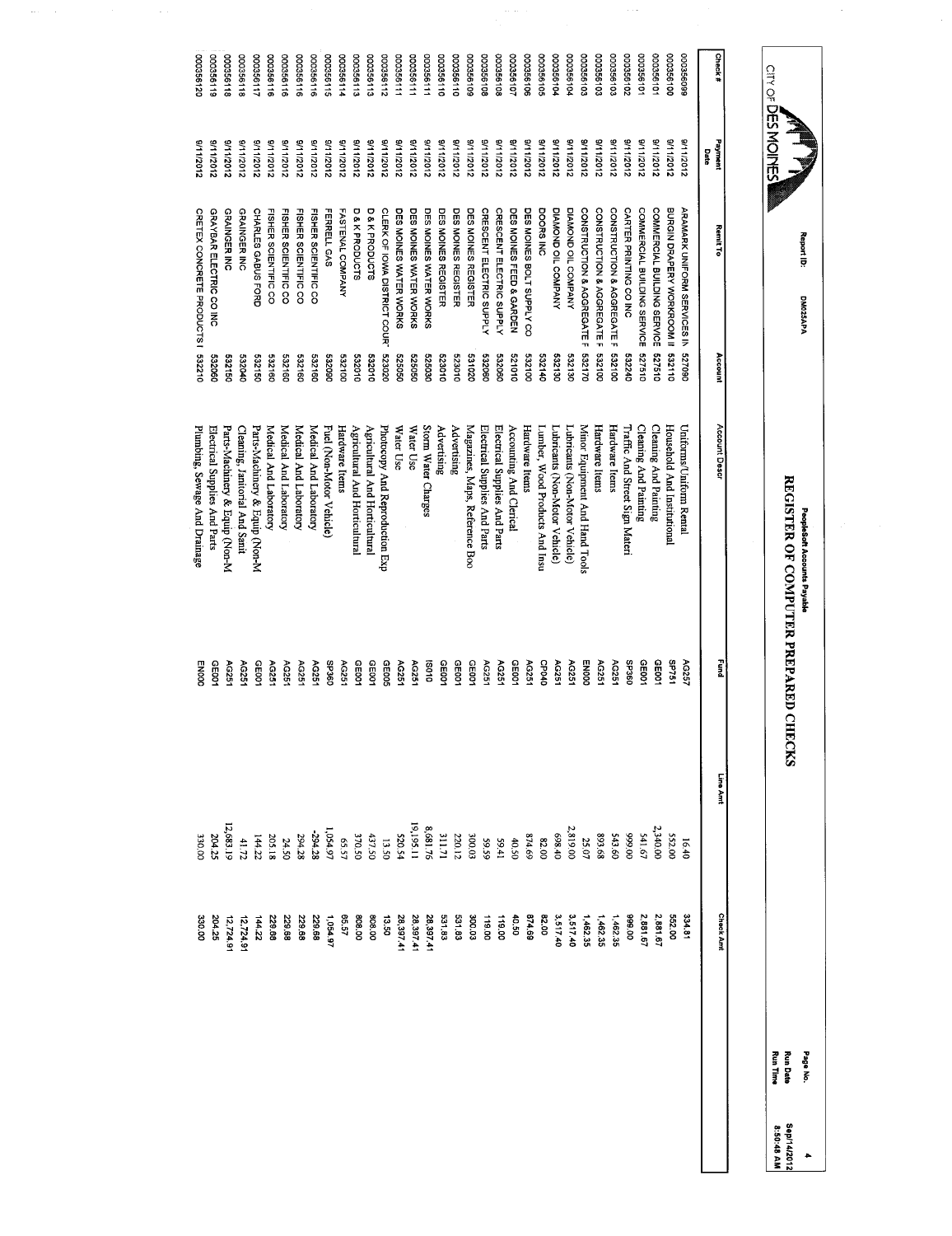|                   | Check#<br>Payment<br><b>Date</b> | 000356099<br>2102/11/16                       | 000356100<br>31112012                | 00035610<br>3/11/2012                 | 00035610<br>3/11/2012                 | 000356102<br>2102/11/16          | 000356103<br>21112012                | 000356103<br>3/11/2012               | 000356103<br>2102/11/6               | 000356104<br>2102/11/6         | 000356104<br>21112012          | 000356105<br>3/11/2012         | 00035610E<br>3/11/2012              | 00035610<br>3/11/2012                                             | 000356108<br>3/11/2012             | 801956108<br>3/1/2012              | 000356109<br>2102/11/6         | 00035611C<br>2102/11/16       | 00035611C<br>8/11/2012        | 00035611<br>3/11/2012            | 00035611<br>8/11/2012           | 11892000<br>2102/11/6           | 000356112<br>21112012                           | 000356113<br>3/11/2012         | 000356113<br>8/11/2012         | 119932000<br>2102/11/6     | 311992000<br>8/11/2012   | 000356116<br>9/11/2012         | 000356116<br>211/2012          | 000356116<br>21112012          |                                | 000356116<br>21102/11/16       | 111992000<br>2102/11/6         | 000356116<br>2102/11/6         | 000356118<br>21112012 | 000356119<br>21112012             |
|-------------------|----------------------------------|-----------------------------------------------|--------------------------------------|---------------------------------------|---------------------------------------|----------------------------------|--------------------------------------|--------------------------------------|--------------------------------------|--------------------------------|--------------------------------|--------------------------------|-------------------------------------|-------------------------------------------------------------------|------------------------------------|------------------------------------|--------------------------------|-------------------------------|-------------------------------|----------------------------------|---------------------------------|---------------------------------|-------------------------------------------------|--------------------------------|--------------------------------|----------------------------|--------------------------|--------------------------------|--------------------------------|--------------------------------|--------------------------------|--------------------------------|--------------------------------|--------------------------------|-----------------------|-----------------------------------|
|                   | <b>Remit To</b><br>Account       | <b>ARAMARK CINICARY SERVICES IN</b><br>327090 | BURGIN DRAPERY WORKROOM II<br>332110 | COMMERCIAL BUILDING SERVICE<br>327510 | COMMERCIAL BUILDING SERVICE<br>377510 | CARTER PRINTING CO INC<br>532240 | CONSTRUCTION & AGGREGATE F<br>332100 | CONSTRUCTION & AGGREGATE F<br>001289 | CONSTRUCTION & AGGREGATE F<br>332170 | DIAMOND OIL COMPANY<br>532130  | DIAMOND OIL COMPANY<br>08130   | DOORS INC<br>532140            | DES MOINES BOLT SUPPLY CO<br>532100 | DES MOINES FEED & GARDEN<br>010129                                | CRESCENT ELECTRIC SUPPLY<br>532060 | CRESCENT ELECTRIC SUPPLY<br>532060 | DES MOINES REGISTER<br>020189  | DES MOINES REGISTER<br>523010 | DES MOINES REGISTER<br>523010 | DES MOINES WATER WORKS<br>525030 | DES MOINES WATER WORKS<br>09029 | DES MOINES WATER WORKS<br>09099 | CLERK OF IOWA DISTRICT COURT<br>020229          | D&KPRODUCTS<br>010289          | D&KPRODUCTS<br>532010          | FASTENAL COMPANY<br>001235 | FERRELL GAS<br>060289    | FISHER SCIENTIFIC CO<br>632160 | FISHER SCIENTIFIC CO<br>091239 | FISHER SCIENTIFIC CO<br>532160 | FISHER SCIENTIFIC CO<br>532160 | CHARLES GABUS FORD<br>091289   | GRAINGER INC<br>01023          | GRAINGER INC<br>091269         |                       | GRAYBAR ELECTRIC CO INC<br>532060 |
|                   | Account Descr                    | Uniforms/Uniform Rental                       | Household And Institutional          | Cleaning And Painting                 | Cleaning And Painting                 | Traffic And Street Sign Materi   | Hardware Items                       | Hardware Items                       | Minor Equipment And Hand Tools       | Lubricants (Non-Motor Vehicle) | Lubricants (Non-Motor Vehicle) | Lumber, Wood Products And Insu | Hardware Items                      | Accounting And Clerical                                           | Electrical Supplies And Parts      | Electrical Supplies And Parts      | Magazines, Maps, Reference Boo | Advertising                   | Advertising                   | Storm Water Charges              | Water Use                       | Water Use                       | Photocopy And Reproduction Exp                  | Agricultural And Horticultural | Agricultural And Horticultural | Hardware Items             | Fuel (Non-Motor Vehicle) | Medical And Laboratory         | Medical And Laboratory         | Medical And Laboratory         | Medical And Laboratory         | Parts-Machinery & Equip (Non-M | Cleaning, Janitorial And Sanit | Parts-Machinery & Equip (Non-M |                       | Electrical Supplies And Parts     |
| E                 |                                  | AG257                                         | <b>192dS</b>                         | <b>GEOO1</b>                          | CE001                                 | <b>SP360</b>                     | AG251                                | <b>AG251</b>                         | <b>ENOOO</b>                         | AG251                          | AG251                          | CPO4O                          | AG251                               | CE001                                                             | AG251                              | AG251                              | CEDD1                          | 0010                          | <b>GE001</b>                  | <b>GO10</b>                      | AG251                           | AG251                           | GE005                                           | CE001                          | GE001                          | AG251                      | OSE-JSO                  | AG251                          | AG251                          | AG251                          | AG251                          | GE001                          | AG251                          | AG251                          |                       | GE001                             |
| Line Amt          |                                  | 16.40                                         | 552.00                               | 2,340.0C                              | 541.67                                | 00'666                           | 543.60                               | 89.68                                | 25.07                                |                                |                                |                                |                                     | 2,819.00<br>698.40<br>698.40.50<br>87.40.50<br>87.60.12<br>220.12 |                                    |                                    |                                |                               | 311.71<br>8,681.76            |                                  | 19,195.11<br>11.20.54           |                                 | 13.50<br>370.50<br>1,054.97<br>294.28<br>294.28 |                                |                                |                            |                          |                                |                                | 24.50                          | 205.18                         |                                | $\frac{144.22}{41.72}$         | 12,683.19                      | 204.2:<br>330.00      |                                   |
| <b>Check Annt</b> |                                  | 334.81                                        | 552.00                               | 2,881.67                              | 2,881.67                              | 00'666                           | 1,462.35                             | 1,462.35<br>1,462.35<br>3,517.40     |                                      |                                | 3,517.40                       | 82.00                          | 874.69                              | 0.50                                                              | 119.00                             | 119.00                             | 300.03                         | 531.83                        | 531.83                        | 28,39741                         | 28,397.41                       | 28,397.41                       | 13.50                                           | 808.00                         | 00 00                          | 65.57                      | 1,054.97                 | 229.68                         | 229.68                         | 229.68                         | 229.68                         | 144.22                         | 12,724.9                       | 12,724.9                       | 204.25                | 30.00                             |

 $\overline{\phantom{a}}$ 

**DM025APA** DM025APA Propiesoft Accounts Payable<br>REGISTER OF COMPUTER PREPARED CHECKS REGISTER OF COMPUTER PREPARED CHECKS PeopleSolt Accounts Payable

Report ID:

**CITY OF DES MOINES** 

ł,

 $\sim$ 

Page No.<br>Run Date<br>Run Time 4<br>Sep/14/2012<br>8:50:48 AM Run Date Sep/14/2012 Run Time 8:50:48 AM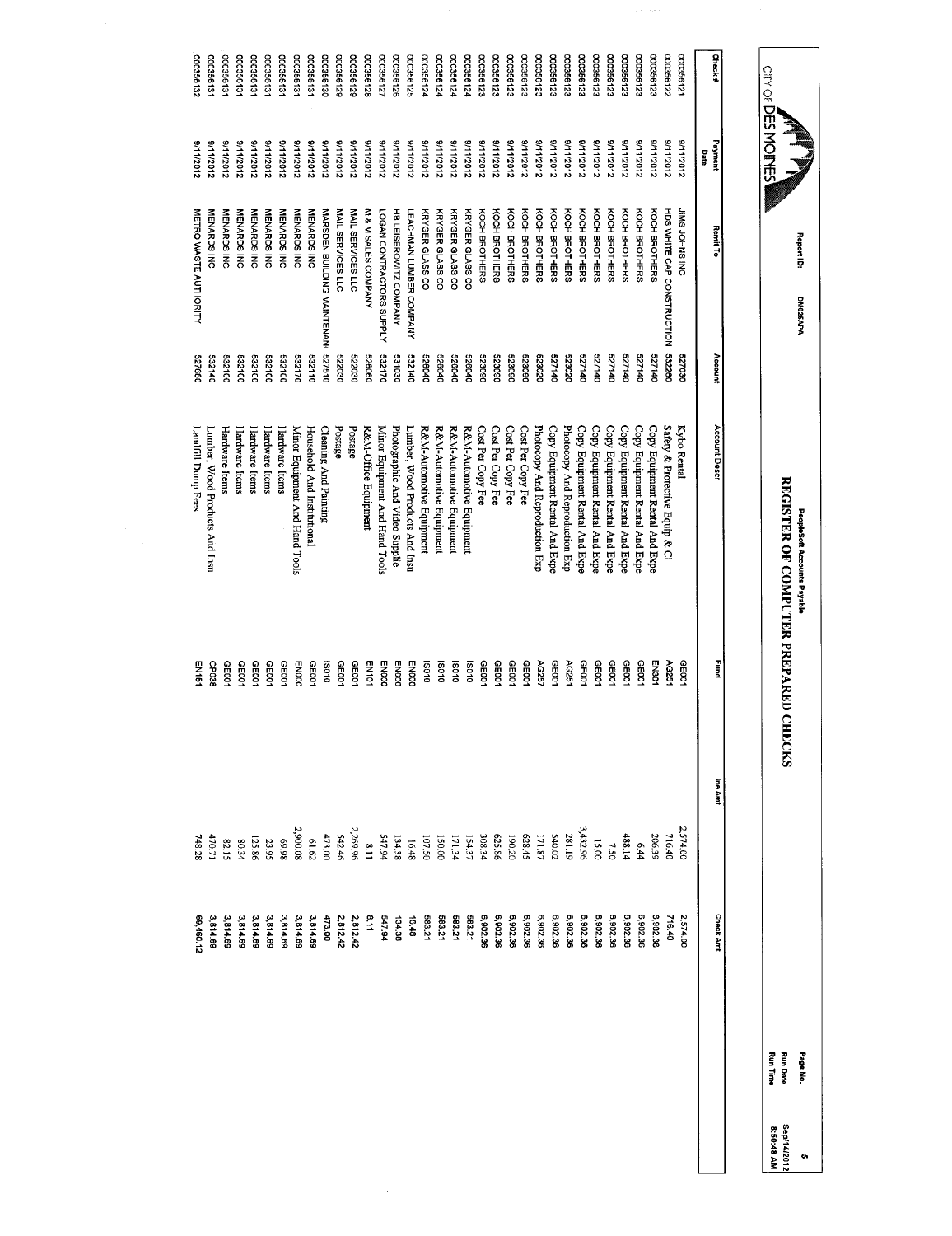$\hat{\mathcal{A}}$ 

Report 10:

CITY OF DES MOINES

DM025APA

DM025APA

People Accounts Payable

REGISTER OF COMPUTER PREPARED CHECKS

PeopleSoft Accounts Payable<br>REGISTER OF COMPUTER PREPARED CHECKS

rage No.<br>Run Date

Run Time

Sep/14/2012

5<br>Sep14/2012<br>8:50:48 AM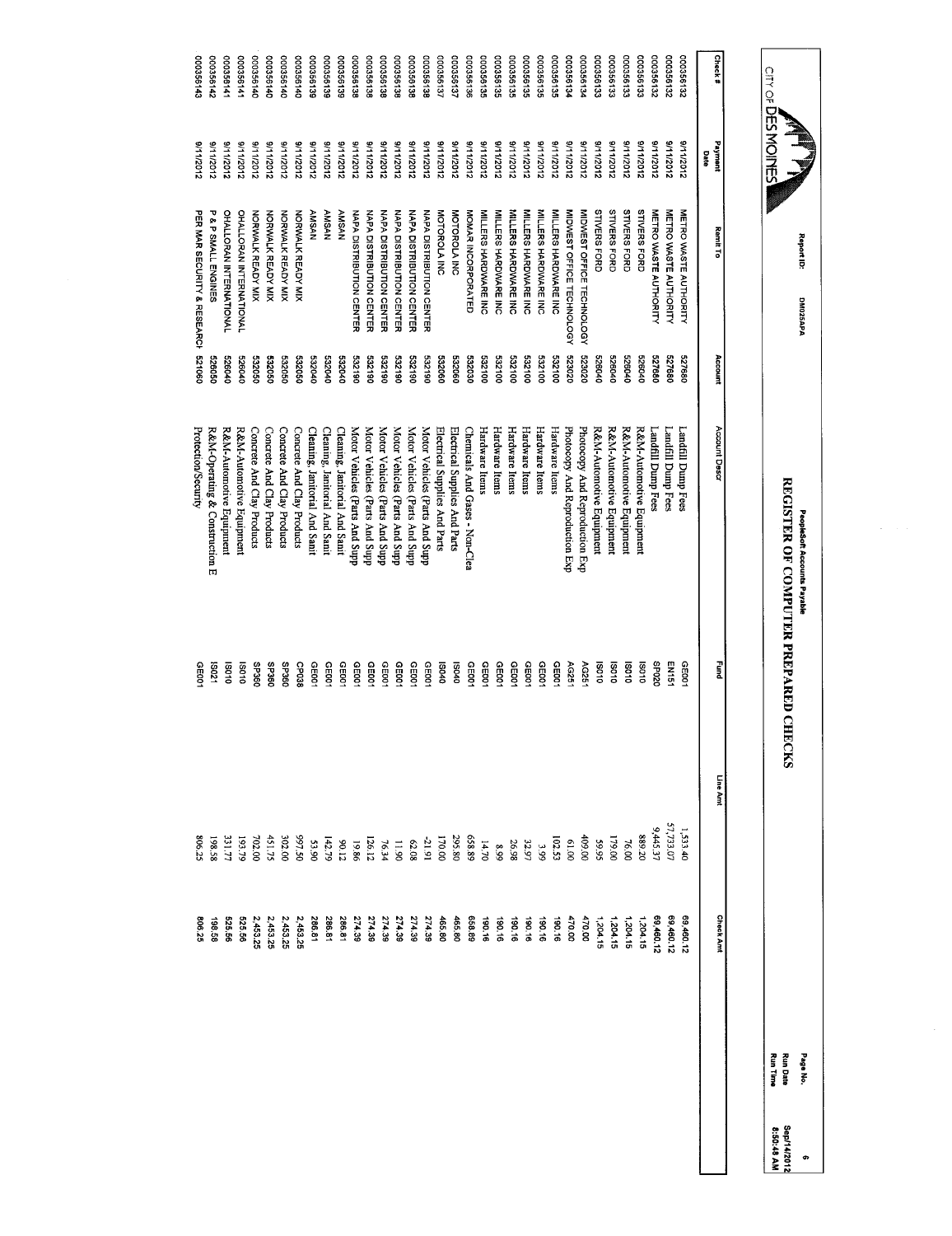|           | CILY OF <b>DES MOILES</b> |                                        |         |                                |                   |                                                         |                  | $\frac{1}{2}$ |
|-----------|---------------------------|----------------------------------------|---------|--------------------------------|-------------------|---------------------------------------------------------|------------------|---------------|
|           |                           |                                        |         |                                |                   |                                                         |                  |               |
| Check#    | Payment<br>Date           | Remit To                               | Account | Account Descr                  | Į                 | Line Amt                                                | <b>Check Amt</b> |               |
| 281998000 | 2102/11/16                | METRO WASTE AUTHORITY                  | 527680  | Landfill Dump Fees             | CE001             | 1,533.40                                                | 69,460.12        |               |
| 000356132 | 21112012                  | METRO WASTE AUTHORITY                  | 527680  | Landfill Dump Fees             | EN151             | 57,733.07                                               | 69,460.12        |               |
| 000356132 | 21112012                  | METRO WASTE AUTHORITY                  | 527680  | Landfill Dump Fees             | 0Z0dS             | 9,445.37                                                | 69,460.12        |               |
| 000356133 | 2111/2012                 | <b>STIVERS FORD</b>                    | 526040  | R&M-Automotive Equipment       | <b>SO10</b>       | 889.20                                                  | 1,204.15         |               |
| 000356133 | 2112012                   | <b>STIVERS FORD</b>                    | 070929  | R&M-Automotive Equipment       | OTOSI             | 76.00                                                   | 1,204.15         |               |
| 000356133 | 2102/11/6                 | <b>STIVERS FORD</b>                    | 526040  | R&M-Automotive Equipment       | <b>DLOSI</b>      | 179.00                                                  | 1,204.15         |               |
| 000356133 | 211/2012                  | <b>STIVERS FORD</b>                    | 526040  | R&M-Automotive Equipment       | 01081             | 59.95                                                   | 1,204.15         |               |
| 000356134 | 21112012                  | MIDWEST OFFICE TECHNOLOGY              | 523020  | Photocopy And Reproduction Exp | AG251             | 00.00                                                   | 470.00           |               |
| 000356134 | 2102/11/6                 | MIDWEST OFFICE TECHNOLOGY              | 023050  | Photocopy And Reproduction Exp | AG251             | 00'19                                                   | 470.00           |               |
| 000356135 | 8/11/2012                 | <b>NILLERS HARDWARE INC</b>            | 001289  | Hardware Items                 | GEDO1             | 102.53                                                  | 190.16           |               |
| 000356135 | 31112012                  | MILLERS HARDVARE INC                   | 001259  | Hardware Items                 | CE001             | $\frac{3.99}{32.97}$                                    | 190.16           |               |
| 000356135 | S/11/2012                 | MILLERS HARDWARE INC                   | 001289  | Hardware Items                 | GE001             |                                                         | 190.16           |               |
| 000356135 | 21102/11/16               | <b>MILLERS HARDWARE INC</b>            | 001789  | Hardware Items                 | CEDO1             | 26.98                                                   | 190.16           |               |
| 000356135 | 21112012                  | MILLERS HARDWARE INC                   | 532100  | Hardware Items                 | GE001             | $8.99$<br>14.70                                         | 190.16<br>190.16 |               |
| 000356135 | 81112012                  | MILLERS HARDWARE INC                   | 532100  | Hardware Items                 | 0035              |                                                         |                  |               |
| 000356136 | 2102/11/6                 | MOMAR INCORPORATED                     | 032030  | Chemicals And Gases - Non-Clea | GEOO1             | 658.89<br>295.80                                        | 658.89           |               |
| 000356137 | S/11/2012                 | MOTOROLA INC                           | 090289  | Electrical Supplies And Parts  | 070SI             |                                                         | 465.80           |               |
| 000356137 | 9/11/2012                 | MOTOROLA INC                           | 532060  | Electrical Supplies And Parts  | 040SI             | 170.00                                                  | 465.80           |               |
| 000356138 | 9/11/2012                 | NAPA DISTRIBUTION CENTER               | 08129   | Motor Vehicles (Parts And Supp | CE001             | $-21.91$                                                | 274.39           |               |
| 861356138 | 8/11/2012                 | <b>NAPA DISTRIBUTION CENTER</b>        | 081339  | Motor Vehicles (Parts And Supp | CED01             |                                                         | 274.39           |               |
| 000356138 | 3/11/2012                 | <b>NAPA DISTRIBUTION CENTER</b>        | 081289  | Motor Vehicles (Parts And Supp | CE001             |                                                         | 274.39           |               |
| 000356136 | 8/11/2012                 | <b>NAPA DISTRIBUTION CENTER</b>        | 08135   | Motor Vehicles (Parts And Supp | GE001             | 62.08<br>11.90<br>126.12                                | 274.39           |               |
| 000356138 | 8/11/2012                 | NAPA DISTRIBUTION CENTER               | 081359  | Motor Vehicles (Parts And Supp | <b>GE001</b>      |                                                         | 274.39           |               |
| 000356138 | 8/11/2012                 | <b>NAPA DISTRIBUTION CENTER</b>        | 081359  | Motor Vehicles (Parts And Supp | GE001             | $\begin{array}{c} 19.86 \\ 90.12 \\ 142.79 \end{array}$ | 274.39           |               |
| 000356139 | 2112012                   | <b>AMSAN</b>                           | 070289  | Cleaning, Janitorial And Sanit | GEDO <sup>-</sup> |                                                         | 286.81           |               |
| 000356139 | 31112012                  | <b>AMSAN</b>                           | 070709  | Cleaning, Janitorial And Sanit | GE00              |                                                         | 286.81           |               |
| 000356139 | 8/11/2012                 | <b>AMSAN</b>                           | 070289  | Cleaning, Janitorial And Sanit | GE001             | 05.59<br>06.55                                          | 286.81           |               |
| 000356140 | 81112012                  | <b>NORWALK READY MIX</b>               | 09350   | Concrete And Clay Products     | CP038             |                                                         | 2,453.25         |               |
| 000356140 | 9/11/2012                 | NORWALK READY MIX                      | 093090  | Concrete And Clay Products     | <b>C95360</b>     | 302.00                                                  | 2,453.25         |               |
| 000356140 | 81112012                  | NORWALK READY MIX                      | 09352   | Concrete And Clay Products     | <b>SP360</b>      | 451.75                                                  | 2,453.25         |               |
| 000356140 | 3/11/2012                 | NORWALK READY MIX                      | 532050  | Concrete And Clay Products     | <b>OBEdS</b>      | 702.00                                                  | 2,453.25         |               |
| 000356141 | 8/11/2012                 | <b>OHALLORAN INTERNATIONAL</b>         | 010929  | R&M-Automotive Equipment       | 010SI             | 193.75                                                  | 525.56           |               |
| 141992000 | 8/11/2012                 | <b>OHALLORAN INTERNATIONAL</b>         | 070929  | R&M-Automotive Equipment       | 010SI             | 331.77                                                  | 525.56           |               |
| 000356142 | 21112012                  | <b>P &amp; P SMALL ENGINES</b>         | 090929  | R&M-Operating & Construction E | 120SI             | 198.58                                                  | 85.58            |               |
| 000356143 | 8/11/2012                 | <b>PER MAR SECURITY &amp; ALSEARCH</b> | 090129  | Protection/Security            | GE00.             | 806.25                                                  | 806.25           |               |

Report 10:

OM025APA

DM025APA

PeopleSoft Accounts Payable

 $\hat{\mathcal{L}}$ 

 $\frac{1}{\sqrt{2}}$ 

REGISTER OF COMPUTER PREPARED CHECKS

PeopleSoft Accounts Payable<br>REGISTER OF COMPUTER PREPARED CHECKS

Page No.

Run Date

Run Time

Sep/14/2012

6<br>Sep/14/2012<br>8:50:48 AM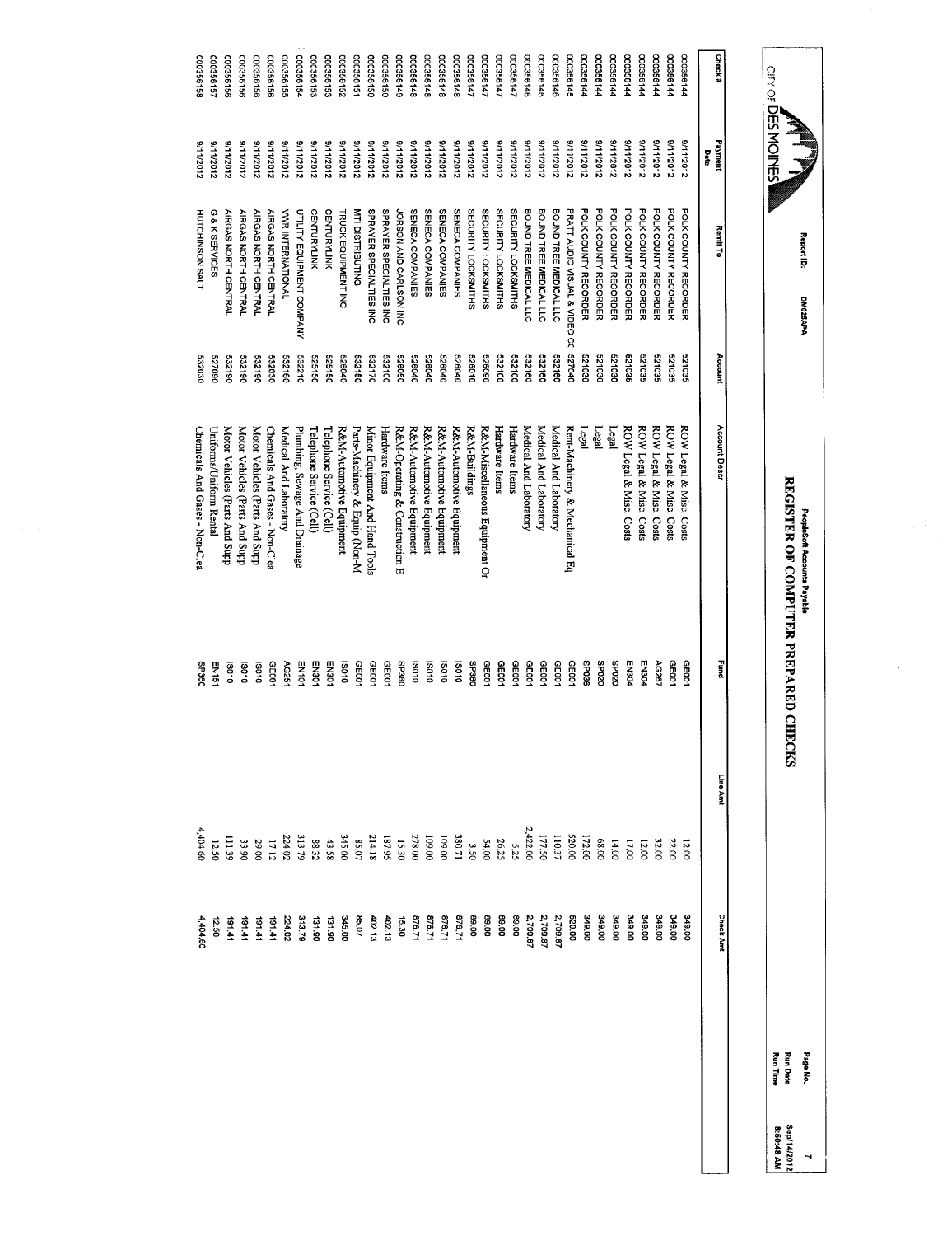| Check#    | Payment<br>Date | <b>Remit To</b>               | Account | Account Descr                  | E<br>E       | Line Amt                                                                                                                                                                                                                                                                                    | <b>Check Annt</b>          |
|-----------|-----------------|-------------------------------|---------|--------------------------------|--------------|---------------------------------------------------------------------------------------------------------------------------------------------------------------------------------------------------------------------------------------------------------------------------------------------|----------------------------|
| 00035614  | 2102/11/6       | POLK COUNTY RECORDER          | 521035  | ROW Legal & Misc. Costs        | GE001        | 12.0C                                                                                                                                                                                                                                                                                       | <b>349.00</b>              |
| 00035614  | 2102/11/6       | POLK COUNTY RECORDER          | 521035  | ROW Legal & Misc. Costs        | GE001        | 22.OC                                                                                                                                                                                                                                                                                       | 349.00                     |
| 00035614  | 2102/11/6       | POLK COUNTY RECORDER          | 521035  | ROW Legal & Misc. Costs        | AG267        | 32.00                                                                                                                                                                                                                                                                                       | 349.00                     |
| 00035614  | 8/11/2012       | POLK COUNTY RECORDER          | 521035  | ROW Legal & Misc. Costs        | EN304        | 12.00                                                                                                                                                                                                                                                                                       | 349.00                     |
| 00035614  | 21112012        | POLK COUNTY RECORDER          | 521035  | ROW Legal & Misc. Costs        | FOCN3        | 17.00                                                                                                                                                                                                                                                                                       | 349.00                     |
| 00035614  | 2102/11/6       | POLK COUNTY RECORDER          | 021030  | Lega                           | 0Z0dS        | 14.00                                                                                                                                                                                                                                                                                       |                            |
| 100356144 | 9/11/2012       | POLK COUNTY RECORDER          | 021030  | Legal                          | <b>OZ0dS</b> | 68.00<br>172.00<br>1171.50<br>2,422.00                                                                                                                                                                                                                                                      | 349.00<br>349.00<br>520.00 |
| 00035614  | 8/11/2012       | POLK COUNTY RECORDER          | 521030  | Legal                          | 9£0dS        |                                                                                                                                                                                                                                                                                             |                            |
| 000356145 | 8/11/2012       | PRATT AUDIO VISUAL & VIDEO CC | 07040   | Rent-Machinery & Mechanical Eq | GE001        |                                                                                                                                                                                                                                                                                             |                            |
| 000356146 | 2102/11/6       | BOUND TREE MEDICAL LLC        | 532160  | Medical And Laboratory         | GE001        |                                                                                                                                                                                                                                                                                             | 2,709.87                   |
| 000356146 | 2102/11/6       | BOUND TREE MEDICAL LLC        | 091239  | Medical And Laboratory         | CE001        |                                                                                                                                                                                                                                                                                             | 2,709.87                   |
| 000356146 | 3/1/2012        | BOUND TREE MEDICAL LLC        | 532160  | Medical And Laboratory         | CE001        |                                                                                                                                                                                                                                                                                             | 2,709.87                   |
| 12566147  | 21112012        | <b>SECURITY LOCKSMITHS</b>    | 532100  | Hardware ltems                 | CE001        | $5.2^{\circ}$                                                                                                                                                                                                                                                                               | <b>99.00</b>               |
| 000356147 | 01112012        | SECURITY LOCKSMITHS           | 532100  | Hardware Items                 | <b>GE001</b> |                                                                                                                                                                                                                                                                                             | 00.68                      |
| 000356147 | 8/11/2012       | <b>SECURITY LOCKSMITHS</b>    | 060929  | R&M-Miscellaneous Equipment Or | CE001        |                                                                                                                                                                                                                                                                                             |                            |
| 14156147  | 2112012         | <b>SECURITY LOCKSMITHS</b>    | 526010  | R&M-Buildings                  | <b>C9£dS</b> |                                                                                                                                                                                                                                                                                             |                            |
| 000356148 | 2102/11/6       | SENECA COMPANIES              | 526040  | R&M-Automotive Equipment       | 010SI        |                                                                                                                                                                                                                                                                                             |                            |
| 000356148 | 2102/11/6       | SENECA COMPANIES              | 526040  | R&M-Automotive Equipment       | <b>DO10</b>  |                                                                                                                                                                                                                                                                                             |                            |
| 000356148 | 211/2012        | SENECA COMPANIES              | 000040  | R&M-Automotive Equipment       | 010SI        | $\begin{array}{l} 28\,Z\,3\\ 23\,Z\,4\\ 36\,Z\,5\\ 4\,Z\,6\\ 5\,Z\,6\\ 6\,Z\,7\\ 6\,Z\,8\\ 7\,Z\,1\\ 8\,Z\,1\\ 1\\ 1\\ 1\\ 2\\ 2\\ 3\\ 3\\ 4\\ 5\\ 6\\ 6\\ 8\\ 9\\ 1\\ 1\\ 1\\ 2\\ 2\\ 3\\ 1\\ 3\\ 4\\ 2\\ 4\\ 2\\ 3\\ 5\\ 4\\ 5\\ 6\\ 8\\ 8\\ 1\\ 1\\ 2\\ 3\\ 1\\ 3\\ 4\\ 4\\ 2\\ 4\\ 2\\$ |                            |
| 000356148 | 9/11/2012       | SENECA COMPANIES              | 526040  | R&M-Automotive Equipment       | <b>So10</b>  |                                                                                                                                                                                                                                                                                             |                            |
| 000356149 | 21112012        | JORSON AND CARLSON INC        | 09029   | R&M-Operating & Construction E | <b>GBCdS</b> |                                                                                                                                                                                                                                                                                             |                            |
| 000356150 | 8/11/2012       | SPRAYER SPECIALTIES INC       | 001289  | Hardware Items                 | GE001        |                                                                                                                                                                                                                                                                                             |                            |
| 00035615C | 8/11/2012       | SPRAYER SPECIALTIES INC       | 532170  | Minor Equipment And Hand Tools | CE001        |                                                                                                                                                                                                                                                                                             |                            |
| 000356151 | 8/11/2012       | MTI DISTRIBUTING              | 091289  | Parts-Machinery & Equip (Non-M | CE001        |                                                                                                                                                                                                                                                                                             |                            |
| 000356152 | 21112012        | <b>TRUCK EQUIPMENT INC</b>    | 526040  | R&M-Automotive Equipment       | 010SI        |                                                                                                                                                                                                                                                                                             |                            |
| 000356153 | 8/11/2012       | <b>CENTURYLINK</b>            | 525150  | Telephone Service (Cell)       | EN301        |                                                                                                                                                                                                                                                                                             |                            |
| 000356153 | 8/11/2012       | <b>CENTURYLINK</b>            | 525150  | Telephone Service (Cell)       | EN301        |                                                                                                                                                                                                                                                                                             |                            |
| 00035615  | 31112012        | UTILITY EQUIPMENT COMPANY     | 532210  | Plumbing, Sewage And Drainage  | EN101        |                                                                                                                                                                                                                                                                                             |                            |
| 000356155 | 21112012        | <b>VWR INTERNATIONAL</b>      | 532160  | Medical And Laboratory         | AG251        |                                                                                                                                                                                                                                                                                             |                            |
| 000356156 | 2102/11/6       | <b>AIRGAS NORTH CENTRAL</b>   | 080369  | Chemicals And Gases - Non-Clea | GE001        |                                                                                                                                                                                                                                                                                             |                            |
| 000356156 | 2102/11/6       | <b>AIRGAS NORTH CENTRAL</b>   | 081289  | Motor Vehicles (Parts And Supp | <b>DO10</b>  |                                                                                                                                                                                                                                                                                             |                            |
| 991992000 | 21112012        | <b>AIRGAS NORTH CENTRAL</b>   | 061359  | Motor Vehicles (Parts And Supp | <b>DSO10</b> |                                                                                                                                                                                                                                                                                             | 18141                      |
| 000356156 | 21112012        | AIRGAS NORTH CENTRAL          | 081359  | Motor Vehicles (Parts And Supp | OLOSI        | mi3s                                                                                                                                                                                                                                                                                        | 17161                      |
| 000356157 | 8/11/2012       | G & K SERVICES                | 060/29  | Uniforms/Uniform Rental        | EN151        | $12.50$<br>4,404.60                                                                                                                                                                                                                                                                         | 12.50                      |
| 000356158 | 8/11/2012       | HUTCHINSON SALT               | 0803030 | Chemicals And Gases - Non-Clea | SP360        |                                                                                                                                                                                                                                                                                             | 4,404.60                   |

PeopleSoft Accounts Payable<br>REGISTER OF COMPUTER PREPARED CHECKS REGISTER OF COMPUTER PREPARED CHECKS Peopleof Accounts Payable

 $\overline{\phantom{a}}$ 

Report ID:

**CITY OF DES MOINES** 

DM025APA

DM025APA

Page No. Run Time Run Date 3<br>Sep/14/2012<br>8:50:48 AM Sep/14/2012 8:50:48 AM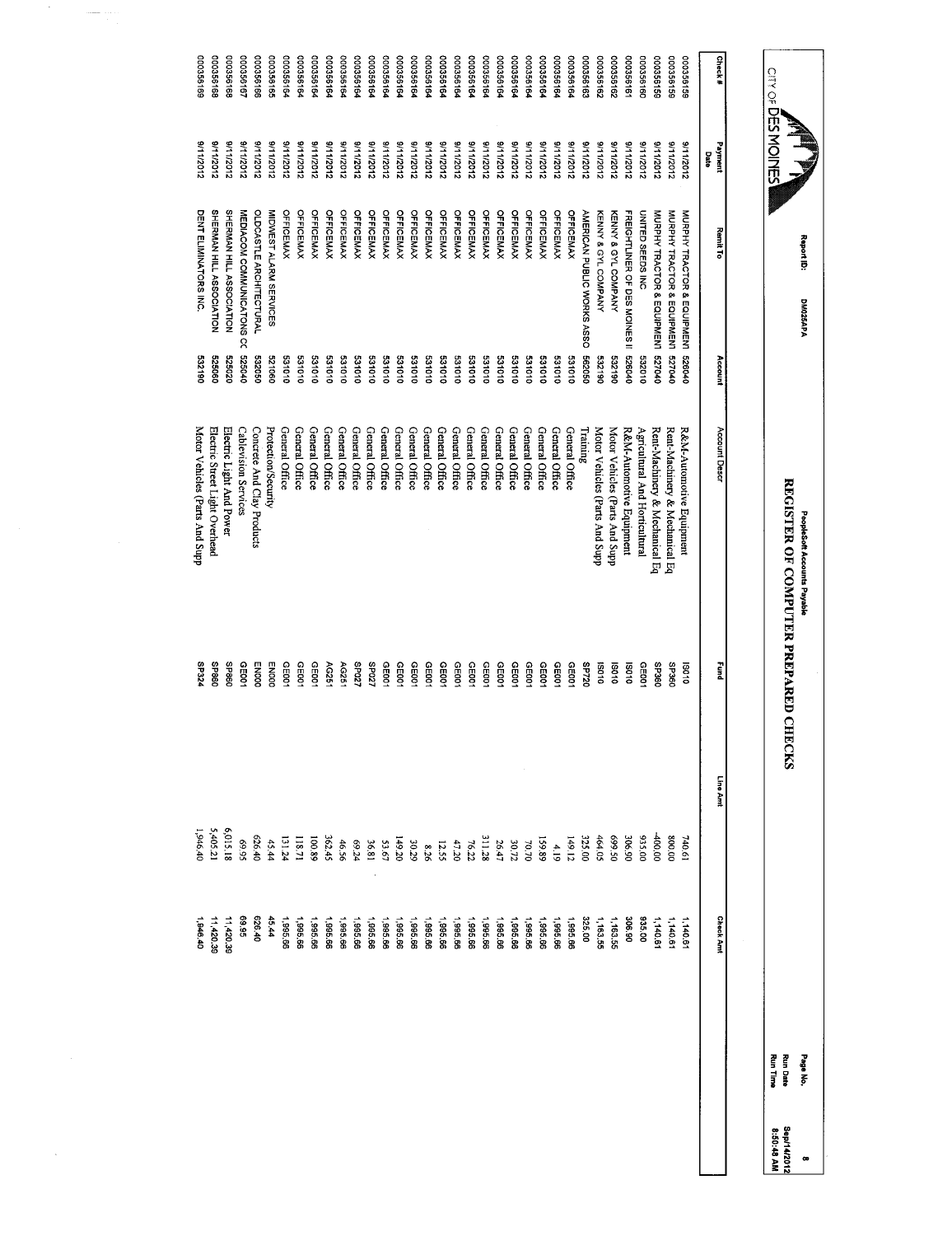|                        | CITY OF DES MOINES     |                               |                  | REGISTER OF COMPUTER PREPARED CHECKS    |                                |                  |                      | <b>Run Time</b><br><b>Run Date</b> |
|------------------------|------------------------|-------------------------------|------------------|-----------------------------------------|--------------------------------|------------------|----------------------|------------------------------------|
|                        |                        |                               |                  |                                         |                                |                  |                      |                                    |
| Check#                 | Payment<br>Date        | Remit To                      | Account          | Account Descr                           | E<br>Emr                       | Line Amt         | <b>Check Ant</b>     |                                    |
| 391992000              | 3/11/2012              | MURPHY TRACTOR & EQUIPMENT    | 010929           | R&M-Automotive Equipment                | 010SI                          | 740.61           | 1,140.6              |                                    |
| 000356155              | 8/11/2012              | MURPHY TRACTOR & EQUIPMENT    | 010229           | Rent-Machinery & Mechanical Eq          | O <sub>9</sub> cd <sub>S</sub> | 00'008           | 1,140.61             |                                    |
| 000356155              | 21112012               | MURPHY TRACTOR & EQUIPMENT    | 010129           | Rent-Machinery & Mechanical Eq          | OSCdS                          | 100.00           | 1,140.61             |                                    |
| 00035616C              | 2102/11/6              | UNITED SEEDS INC              | 010289           | Agricultural And Horticultural          | CE001                          | 035.00           | 935.00               |                                    |
| 000356161              | 21112012               | FREIGHTLINER OF DES MOINES II | 070929           | R&M-Automotive Equipment                | 010SI                          | 306.90           | 06 90                |                                    |
| 000356162              | 2102/11/16             | KENNY & GYL COMPANY           | 06123            | Motor Vehicles (Parts And Supp          | 010SI                          | 05'669           | 1,163.55             |                                    |
| 000356162              | 2111/2012              | KENNY & GYL COMPANY           | 532190           | Motor Vehicles (Parts And Supp          | <b>12010</b>                   | 464.05           | 1,163.55             |                                    |
| 000356162              | 21112012               | AMERICAN PUBLIC WORKS ASSO    | 090299           | $\label{eq:main} \text{Training}$       | <b>SP720</b>                   | 325.00           | 325.00               |                                    |
| 000356164              | 81112012               | OFFICEMAX                     | 010189           | General Office                          | 0039                           | 149.12           | 1,995.66             |                                    |
| 000356164              | 31112012               | OFFICEMAX                     | 331010           | General Office                          | CE001                          |                  | 1,995.66             |                                    |
| 000356164              | 81112012               | <b>OFFICEMAX</b>              | 010189           | General Office                          | GE001                          | 4.19<br>159.89   | 1,995.66             |                                    |
| 000356164              | 3/11/2012              | <b>OFFICEMAX</b>              | 331010           | General Office                          | GE001                          | 70.70            | 99.996               |                                    |
| 000356164<br>000356164 | 8/11/2012<br>81112012  | OFFICEMAX<br>OFFICEMAY        | 010189<br>010189 | General Office                          | CE001<br>GE001                 | $30.72\,$        | 1,995.66<br>1,995.66 |                                    |
| 000356164              | 8/11/2012              | <b>OFFICEMAX</b>              | 010189           | General Office<br><b>General Office</b> | CE001                          | 311.28<br>26.47  | 99.586               |                                    |
| 000356164              | 2102/11/6              | OFFICEMAX                     | 531010           | General Office                          | GE001                          | $76.22$          | 1,995.66             |                                    |
| 000356164              | 8/11/2012              | <b>OFFICEMAX</b>              | 010189           | General Office                          | GE001                          | 47.20            | 1,995.66             |                                    |
| 000356164              | 21102/11/16            | <b>OFFICEMAX</b>              | 010189           | General Office                          | CE001                          | 12.55            | 1,995.66             |                                    |
| 00035616               | 31112012               | <b>OFFICEMAX</b>              | 010189           | General Office                          | GE00                           | $8.29$<br>30.29  | 1,995.66             |                                    |
| 000356164              | 81112012               | <b>OFFICEMAX</b>              | 531010           | General Office                          | GE001                          |                  | 99 966               |                                    |
| 00035616               | 21112012               | OFFICEMAX                     | 010189           | General Office                          | GE001                          | 149.20           | 1,995.66             |                                    |
| 000356164              | 2102/11/16             | <b>OFFICEMAX</b>              | 010189           | General Office                          | CE001                          | 53.67            | 1,995.66             |                                    |
| 000356164              | 8/11/2012              | OFFICEMAY                     | 01013            | General Office                          | 25027                          | 18.81            | 1,995.66             |                                    |
| 00035616               | 21112012               | OFFICEMAX                     | 010189           | General Office                          | /20dS                          | 69.24            | 1,995.66             |                                    |
| 000356164              | 3/11/2012              | <b>OFFICEMAX</b>              | 010189           | General Office                          | AG25                           | 46.56            | 1,995.66             |                                    |
| 00035616<<br>000356164 | 5/11/2012<br>8/11/2012 | <b>OFFICEMAY</b><br>OFFICEMAX | 010189<br>531010 | General Office<br>General Office        | GEDO.<br>AG251                 | 100.89<br>362.45 | 1,995.66<br>1,995.66 |                                    |
| 000356164              | 2102/11/6              | <b>OFFICEMAX</b>              | 010189           | General Office                          | GE00.                          | 118.71           | 1,995.66             |                                    |
| 000356164              | 21112012               | <b>OFFICEMAX</b>              | 531010           | General Office                          | GE001                          | 131.24           | 1,995.66             |                                    |
| 000356165              | 8/11/2012              | MIDWEST ALARM SERVICES        | 521060           | Protection/Security                     | <b>ENDOO</b>                   | 45.44            | 45.44                |                                    |
| 00356166               | 2112012                | OLDCASTLE ARCHITECTURAL       | 09330            | Concrete And Clay Products              | <b>ENDOO</b>                   | 626.40           | 626.40               |                                    |
| 000356167              | 2102/11/6              | MEDIACOM COMMUNICATONS<br>ğ   | 525040           | <b>Cablevision Services</b>             | GE00                           | 66.9             | 69.95                |                                    |
| 891992000              | 21112012               | SHERMAN HILL ASSOCIATION      | 020929           | Electric Light And Power                | 098dS                          | 6,015.18         | 11,420.39            |                                    |
| 891992000              | 8/11/2012              | SHERMAN HILL ASSOCIATION      | 525060           | Electric Street Light Overhead          | <b>OBBdS</b>                   | 5,405.21         | 11,420.39            |                                    |
| 000356169              | 2102/11/6              | DENT ELIMINATORS INC.         | 532190           | Motor Vehicles (Parts And Supp          | <b>SP324</b>                   | 1,946.40         | 1,946.40             |                                    |

 $\frac{1}{\sqrt{2}}\sum_{i=1}^{n-1}\frac{1}{\sqrt{2}}\sum_{i=1}^{n-1}\frac{1}{\sqrt{2}}\sum_{i=1}^{n-1}\frac{1}{\sqrt{2}}\sum_{i=1}^{n-1}\frac{1}{\sqrt{2}}\sum_{i=1}^{n-1}\frac{1}{\sqrt{2}}\sum_{i=1}^{n-1}\frac{1}{\sqrt{2}}\sum_{i=1}^{n-1}\frac{1}{\sqrt{2}}\sum_{i=1}^{n-1}\frac{1}{\sqrt{2}}\sum_{i=1}^{n-1}\frac{1}{\sqrt{2}}\sum_{i=1}^{n-1}\frac{1}{\sqrt{2}}$ 

Motor Vehicles (Parts And Supp

 $\hat{\mathcal{A}}$ 

Report 10:

DM025APA

DM025APA

PeopleSoft Accounts Payable<br>REGISTER OF COMPUTER PREPARED CHECKS REGISTER OF COMPUTER PREPARED CHECKS PeopleSoft Accunts Payable

Page No. Run Date 8<br>Sep114/2012<br>8:50:48 AM 8:50:48 AM Sep/14/2012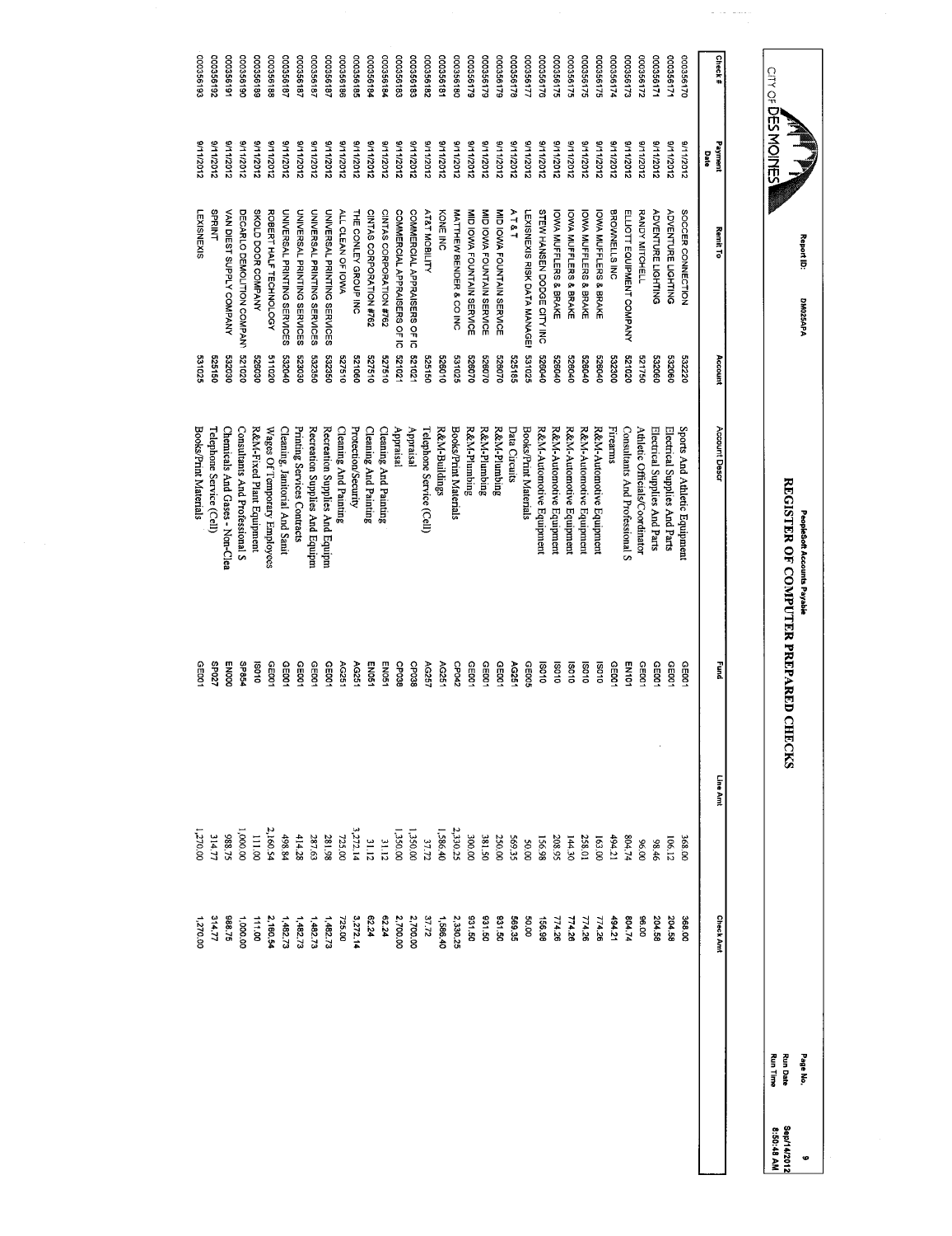|                           |                          | Report ID:<br><b>DM025APA</b>              |                  | PeopleSoft Accounts Payable          |                |                 |                   | Page No.                           |
|---------------------------|--------------------------|--------------------------------------------|------------------|--------------------------------------|----------------|-----------------|-------------------|------------------------------------|
| CILY OF <b>DES MOILES</b> |                          |                                            |                  | REGISTER OF COMPUTER PREPARED CHECKS |                |                 |                   | <b>Run Time</b><br><b>Run Date</b> |
|                           |                          |                                            |                  |                                      |                |                 |                   |                                    |
| <b>Check#</b>             | Payment<br>Date          | Remit To                                   | Account          | Account Descr                        | E              | Line Amt        | <b>Check Annt</b> |                                    |
| 000356170                 | 21112012                 | SOCCER CONNECTION                          | 532220           | Sports And Athletic Equipment        | GE00           | 368.00          | 368.00            |                                    |
| 000356171                 | 2102/11/16               | <b>ADVENTURE LIGHTING</b>                  | 532060           | Electrical Supplies And Parts        | CE001          | 106.12          | 204.58            |                                    |
| 000356171                 | 8/11/2012                | <b>ADVENTURE LIGHTING</b>                  | 532060           | Electrical Supplies And Parts        | GE001          | 98.46           | 204.50            |                                    |
| 000356172                 | 210Z/LL/6                | RANDY MITCHELL                             | 521750           | Athletic Officials/Coordinator       | <b>GE001</b>   | 00'96           | 00.30             |                                    |
| 000356173                 | 211/2012                 | ELIOTT EQUIPMENT COMPANY                   | 020129           | Consultants And Professional S       | EN101          | 804.74          | 804.74            |                                    |
| 000356174                 | 5/11/2012                | BROWNELLS INC                              | 532300           | Firearms                             | GE001          | 494.21          | 494.21            |                                    |
| 17835000                  | 3/11/2012                | <b>IOWA MUFFLERS &amp; BRAKE</b>           | 070040           | R&M-Automotive Equipment             | <b>SO10</b>    | 163.00          | 37.172            |                                    |
| 000356175                 | 21112012                 | <b>IOWA MUFFLERS &amp; BRAKE</b>           | 526040           | R&M-Automotive Equipment             | 010SI          | 258.01          | 774.26            |                                    |
| 000356175                 | 3/11/2012                | <b>IONA MUFFLERS &amp; BRAKE</b>           | 526040           | R&M-Automotive Equipment             | 010SI          | 144.30          | 774.26            |                                    |
| 000356175                 | 2102/11/6                | <b>IOWA MUFFLERS &amp; BRAKE</b>           | 070929           | R&M-Automotive Equipment             | 010SI          | 208.95          | 774.26            |                                    |
| 000356176                 | 311/2012                 | STEW HANSEN DODGE CITY INC                 | 526040           | R&M-Automotive Equipment             | 010SI          | 156.98          | 86.98             |                                    |
| 177850000                 | 211/2012                 | LEXISNEXIS RISK DATA MANAGE?               | 531025           | Books/Print Materials                | GEDO5          | <b>50.00</b>    | 00.08             |                                    |
| 000356178<br>000356175    | 21102/11/16<br>8/11/2012 | MID IOWA FOUNTAIN SERVICE<br>$A$ $T$ & $T$ | 526070<br>525185 | R&M-Plumbing<br>Data Circuits        | GE001<br>AG251 | 250.00<br>56.35 | 031.50<br>569.35  |                                    |
| 000356175                 | 21112012                 | MID IOWA FOUNTAIN SERVICE                  | 526070           | R&M-Plumbing                         | GE001          | 381.50          | 031.50            |                                    |
| 000356179                 | 21112012                 | MID IOWA FOUNTAIN SERVICE                  | 0/0929           | R&M-Plumbing                         | GE001          | 300.00          | 031.50            |                                    |
| 00035618C                 | 211/2012                 | MATTHEW BENDER & CO INC                    | 531025           | Books/Print Materials                | CP042          | 2,330.25        | 2,330.25          |                                    |
| 00035618                  | 2102/11/16               | KONE INC                                   | 526010           | R&M-Buildings                        | AG251          | 1,586.40        | 1,588.40          |                                    |
| 281992000                 | 3/11/2012                | AT&T MOBILITY                              | 525150           | Telephone Service (Cell)             | AG257          | 37.72           | 37.72             |                                    |
| 000356183                 | 3/11/2012                | COMMERCIAL APPRAISERS OF IC                | 521021           | Appraisal                            | <b>CP038</b>   | 1,350.00        | 2,700.00          |                                    |
| 000356183                 | 21112012                 | COMMERCIAL APPRAISERS OF IC                | 120129           | Appraisal                            | GP038          | 1,350.00        | 2,700.00          |                                    |
| 000356184                 | 211/2012                 | CINTAS CORPORATION #762                    | 019129           | Cleaning And Painting                | EN051          | 31.12           | 62.24             |                                    |
| 000356184                 | 8/11/2012                | CINTAS CORPORATION #762                    | 527510           | Cleaning And Painting                | END51          | 31.12           | 62.24             |                                    |
| 000356185                 | 8/11/2012                | THE CONLEY GROUP INC                       | 090129           | Protection/Security                  | AG251          | 3.272.14        | 3,272.14          |                                    |
| 000356186                 | 211/2012                 | ALL CLEAN OF IOWA                          | 01913            | Cleaning And Painting                | AG251          | 725.00          | 725.00            |                                    |
| 000356187                 | 211/2012                 | UNIVERSAL PRINTING SERVICES                | 532350           | Recreation Supplies And Equipm       | GE001          | 281.98          | 1,482.73          |                                    |
| 000356187                 | 21112012                 | UNIVERSAL PRINTING SERVICES                | 532350           | Recreation Supplies And Equipm       | GEDO1          | 287.63          | 1,482.73          |                                    |
| 181992000                 | 211/2012                 | UNIVERSAL PRINTING SERVICES                | 523030           | Printing Services Contracts          | 061001         | 414.28          | 1,482.73          |                                    |
| 000356187                 | 21112012                 | UNIVERSAL PRINTING SERVICES                | 532040           | Cleaning, Janitorial And Sanit       | GE001          | 498.84          | 1,48273           |                                    |
| 000356188                 | 2112012                  | ROBERT HALF TECHNOLOGY                     | 020119           | Wages Of Temporary Employees         | GE001          | 2,160.54        | 2,160.54          |                                    |
| 000356186                 | 21112012                 | SKOLD DOOR COMPANY                         | 526030           | R&M-Fixed Plant Equipment            | 19010          | 111.00          | 111.00            |                                    |
| 000356190                 | 2102/11/6                | DECARLO DEMOLITION COMPANY                 | 020129           | Consultants And Professional S       | <b>PGBdS</b>   | 1,000.00        | 1,000.00          |                                    |
| 000356191                 | 21112012                 | VAN DIEST SUPPLY COMPANY                   | 532030           | Chemicals And Gases - Non-Clea       | <b>ENOOO</b>   | 388.75          | 368.75            |                                    |
| 261992000                 | 21112012                 | <b>SPRINT</b>                              | 525150           | Telephone Service (Cell)             | /20dS          | 314.77          | 314.77            |                                    |
| 000356193                 | 8/11/2012                | LEXISNEXIS                                 | 531025           | Books/Print Materials                | GE001          | 00'02"          | 1,270 00          |                                    |

 $\label{eq:1} \begin{array}{ll} \mathcal{L}_{\text{max}}(\mathcal{L}_{\text{max}}) = \mathcal{L}_{\text{max}}(\mathcal{L}_{\text{max}}) \end{array}$ 

Sep/14/2012

9<br>Sep/14/2012<br>8:50:48 AM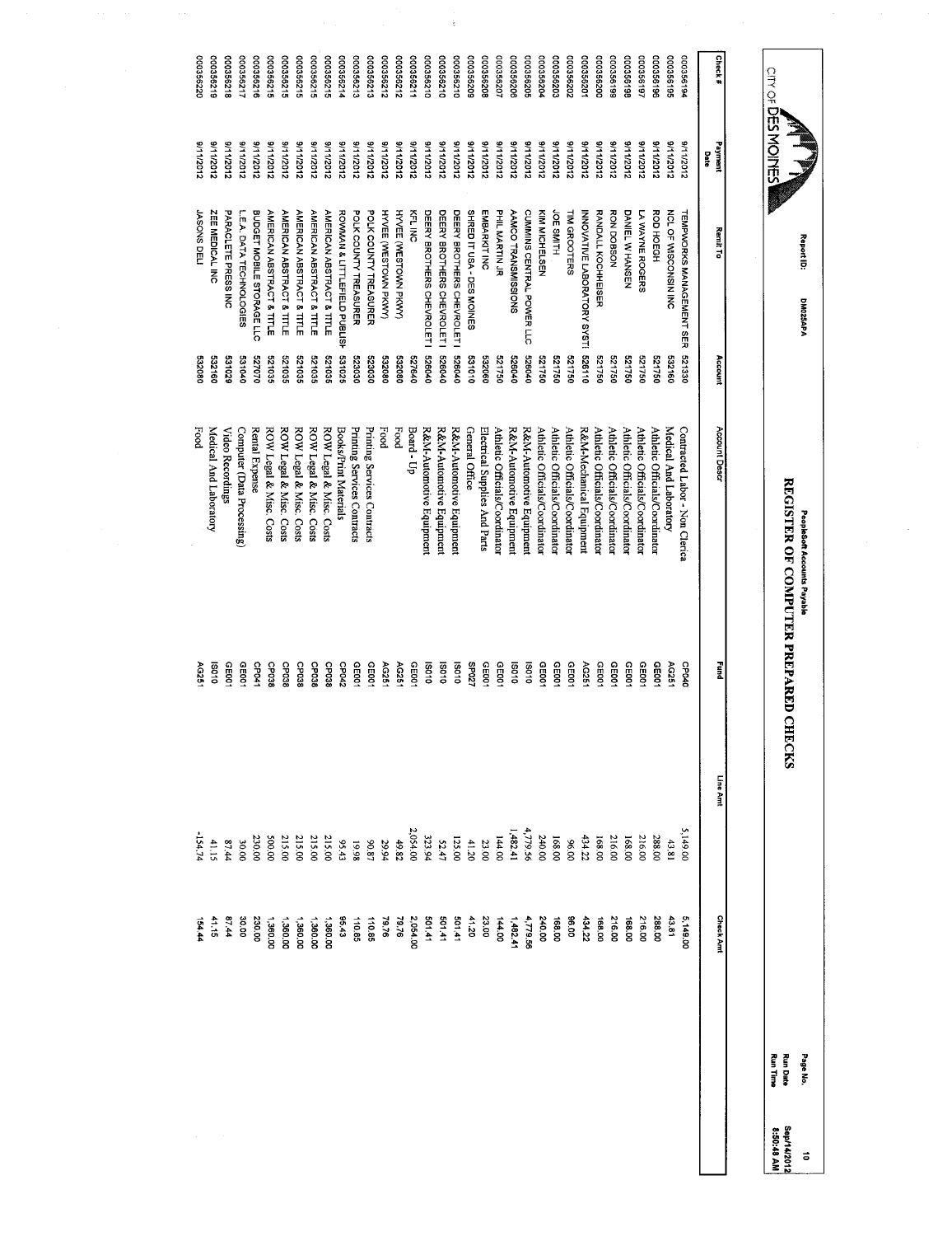|                       |                               | Report ID:<br>DM025APA                       |                  | PeopleSoft Accounts Payable                                |                |                      |                      | Page No.                           | $\vec{0}$                 |
|-----------------------|-------------------------------|----------------------------------------------|------------------|------------------------------------------------------------|----------------|----------------------|----------------------|------------------------------------|---------------------------|
| Control Monder        |                               |                                              |                  | <b>REGISTER OF COMPUTER PREPARED CHEC</b>                  |                | <b>KS</b>            |                      | <b>Run Date</b><br><b>Run Time</b> | Sep/14/2012<br>8:50:48 AM |
|                       |                               |                                              |                  |                                                            |                |                      |                      |                                    |                           |
| Check#                | Payment<br>Date               | Remit To                                     | Account          | Account Descr                                              | Į              | Line Amt             | <b>Check Amt</b>     |                                    |                           |
| 000356194             | 8/11/2012                     | <b>TEMPWORKS MANAGEMENT SER</b>              | 521330           | Contracted Labor - Non Clerica                             | CPO4C          | 5,149.00             | 5,149.00             |                                    |                           |
| 000356195             | 21112012                      | NCL OF WISCONSIN INC                         | 532160           | Medical And Laboratory                                     | AG251          | 43.81                | 43.81                |                                    |                           |
| 000356196             | 2102/11/6                     | ROD HOEGH                                    | 094129           | Athletic Officials/Coordinator                             | 0010           | 288.00               | 288.00               |                                    |                           |
| 161992000             | 2102/11/6                     | LA WAYNE ROGERS                              | 091129           | Athletic Officials/Coordinator                             | 0035           | 216.00               | 216.00               |                                    |                           |
| 861992000             | 2102/11/6                     | DANIEL WHANSEN                               | 521750           | Athletic Officials/Coordinator                             | CEDO1          | 168.00               | 168.00               |                                    |                           |
| 000356199             | 21112012                      | <b>KORSOON</b>                               | 521750           | Athletic Officials/Coordinator                             | CED01          | 216.00               | 216.00               |                                    |                           |
| 000356200             | 2102/11/6                     | RANDALL KOCHHEISER                           | 09/129           | Athletic Officials/Coordinator                             | CE001          | 168.00               | 168,00               |                                    |                           |
| 00035620              | 21112012                      | INNOVATIVE LABORATORY SYSTI                  | 526110           | R&M-Mechanical Equipment                                   | AG251          | 434.22               | 434.22               |                                    |                           |
| 00356202              | 2102/11/6                     | TIM GROOTERS                                 | 091129           | Athletic Officials/Coordinator                             | CED01          | 00'96                | 00'96                |                                    |                           |
| 000356203             | 21112012                      | JOE SMITH                                    | 521750           | Athletic Officials/Coordinator                             | CF001          | 168.00               | 168.00               |                                    |                           |
| 000356204             | 2102/11/6                     | KIM MICHELSEN                                | 09/129           | Athletic Officials/Coordinator                             | GEDO1          | 240.00               | 240.00               |                                    |                           |
| 000356206<br>00035620 | 9/11/2012<br><b>S/11/2012</b> | CUMMINS CENTRAL POWER LLC                    | 526040<br>070040 | R&M-Automotive Equipment                                   | 010SI<br>010SI | 4,779.56<br>1,482.41 | 1,482.41<br>4,779.56 |                                    |                           |
| 000356207             | 8/11/2012                     | <b>PHIL MARTIN JR</b><br>AAMCO TRANSMISSIONS | 521750           | R&M-Automotive Equipment<br>Athletic Officials/Coordinator | GEDO1          | 144.00               | 144.00               |                                    |                           |
| 30336208              | 9/11/2012                     | <b>EMBARKIT INC</b>                          | 532060           | Electrical Supplies And Parts                              | GED01          | 23.00                | 23.00                |                                    |                           |
| 000356205             | 9/11/2012                     | SHRED IT USA - DES MOINES                    | 010189           | General Office                                             | 25027          | 41.20                | 41.20                |                                    |                           |
| 000356210             | 3/11/2012                     | DEERY BROTHERS CHEVROLET I                   | 526040           | R&M-Automotive Equipment                                   | 010SI          | 125.00               | 501.41               |                                    |                           |
| 000356210             | 9/11/2012                     | DEERY BROTHERS CHEVROLET I                   | 010929           | R&M-Automotive Equipment                                   | 010SI          | 52.47                | 501.41               |                                    |                           |
| 000356210             | 3/11/2012                     | DEERY BROTHERS CHEVROLET I                   | 526040           | R&M-Automotive Equipment                                   | 010S           | 323.94               | 501.41               |                                    |                           |
| 112992000             | 3/11/2012                     | 준다이                                          | 527640           | Board - Up                                                 | CE001          | 2,054.00             | 2,054.00             |                                    |                           |
| 200356212             | S/11/2012                     | HYVEE (WESTOWN PKWY)                         | 090269           | Food                                                       | AG251          | 49.82                | 79.76                |                                    |                           |
| 200356212             | 2102/11/16                    | <b>HYVEE (WESTOWN PKWY)</b>                  | 532080           | Food                                                       | AG251          | 29.94                | 92.67                |                                    |                           |
| 000356213             | 9/11/2012                     | POLK COUNTY TREASURER                        | 523030           | Printing Services Contracts                                | CE001          | 70.87                | 110.85               |                                    |                           |
| 000356213             | 9/11/2012                     | POLK COUNTY TREASURER                        | 023030           | Printing Services Contracts                                | GE001          | 19.98                | 110.85               |                                    |                           |
| 000356214             | 21112012                      | ROWMAN & LITTLEFIELD PUBLISH                 | 531025           | Books/Print Materials                                      | CP042          | 95.43                | 95.43                |                                    |                           |
| 000356215             | 3/11/2012                     | <b>AMERICAN ABSTRACT &amp; TITLE</b>         | 521035           | ROW Legal & Misc. Costs                                    | CP038          | 215.00               | 1,360.00             |                                    |                           |
| 000356215             | 8/11/2012                     | AMERICAN ABSTRACT & TITLE                    | 521035           | ROW Legal & Misc. Costs                                    | CP038          | 215.00               | 1,360.00             |                                    |                           |
| 000356215             | 8/11/2012                     | <b>AMERICAN ABSTRACT &amp; TITLE</b>         | 521035           | ROW Legal & Misc. Costs                                    | <b>CP038</b>   | 215.00               | 1,360.00             |                                    |                           |
| 000356215             | S/11/2012                     | <b>AMERICAN ABSTRACT &amp; TITLE</b>         | 521035           | ROW Legal & Misc. Costs                                    | 880dC          | 215.00               | 1,360.00             |                                    |                           |
| 200356215             | 9/11/2012                     | AMERICAN ABSTRACT & TITLE                    | 521035           | ROW Legal & Misc. Costs                                    | <b>GP038</b>   | 00.005               | 1,360.00             |                                    |                           |
| 000356216             | 8/11/2012                     | BUDGET MOBILE STORAGE LLC                    | 021070           | Rental Expense                                             | <b>CP041</b>   | 230.00               | 230.00               |                                    |                           |
| 000356217             | 8/11/2012                     | L.E.A. DATA TECHNOLOGIES                     | 040189           | Computer (Data Processing)                                 | GE001          | <b>30.00</b>         | 30.00                |                                    |                           |
| 000356218             | 211/2012                      | PARACLETE PRESSINC                           | 621036           | Video Recordings                                           | GE001          | 87.44                | 57.44                |                                    |                           |
| 000356219             | 21102/11/16                   | ZEE MEDICAL INC                              | 532160           | Medical And Laboratory                                     | 010SI          | 41.15                | 41.15                |                                    |                           |
| 000356220             | 2111/2012                     | <b>URSONS DELI</b>                           | 080269           | Food                                                       | AG251          | 154.74               | 154.44               |                                    |                           |

 $\frac{1}{2}$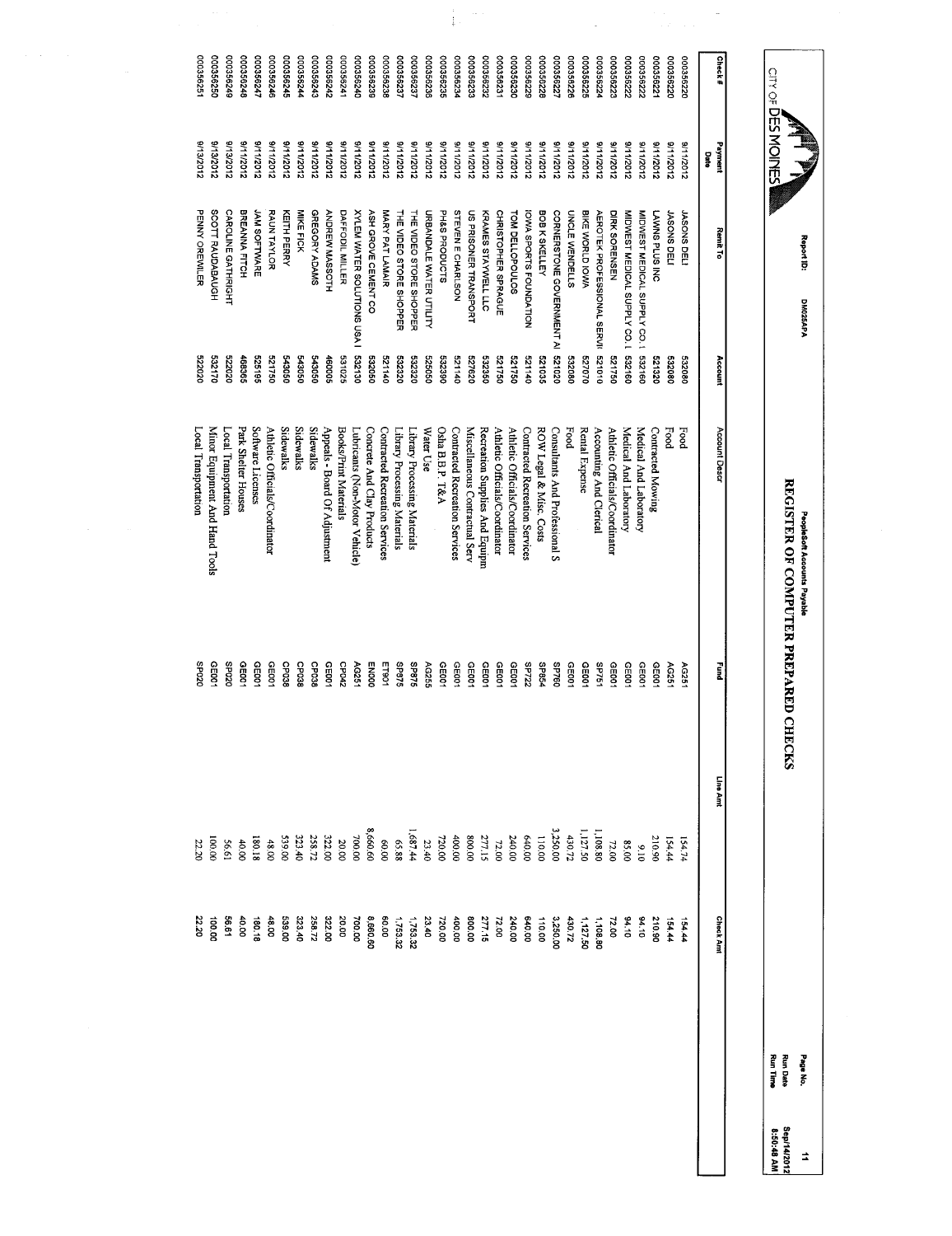| Control DESIGNATION   |                        | Report ID:<br>DM025APA                     |                  | REGISTER OF COMPUTER PREPARED CHECKS<br>PeopleSoft Accounts Payable |                                |                 |                   | <b>Run Time</b><br><b>Run Date</b><br>Page No. |
|-----------------------|------------------------|--------------------------------------------|------------------|---------------------------------------------------------------------|--------------------------------|-----------------|-------------------|------------------------------------------------|
|                       |                        |                                            |                  |                                                                     |                                |                 |                   |                                                |
| Check#                | Payment<br>Date        | <b>Remit To</b>                            | Account          | Account Descr                                                       | Į                              | Line Amt        | <b>Check Annt</b> |                                                |
| 00035622C             | 8/11/2012              | <b>UASONS DELI</b>                         | 532080           | Food                                                                | AG251                          | 154.74          | 154.44            |                                                |
| 000356220             | 21112012               | <b>JASONS DELI</b>                         | 332080           | Food                                                                | AG251                          | 154.44          | 154.44            |                                                |
| 00035622              | 3/11/2012              | LAWNS PLUS INC                             | 521320           | Contracted Mowing                                                   | GE001                          | 210.90          | 210.90            |                                                |
| 000356222             | 9/11/2012              | MIDWEST MEDICAL SUPPLY CO.1                | 532160           | Medical And Laboratory                                              | CED01                          | $\frac{9}{10}$  | 34.10             |                                                |
| 00356222              | 211/2012               | MIDWEST MEDICAL SUPPLY CO. L 532160        |                  | Medical And Laboratory                                              | GEDD1                          | 00'58           | $01*6$            |                                                |
| 000356223             | 211/2012               | DIRK SORENSEN                              | 521750           | Athletic Officials/Coordinator                                      | GE001                          | 72.00           | 72.00             |                                                |
| 72992000              | 21112012               | AEROTEK PROFESSIONAL SERVI 521010          |                  | Accounting And Clerical                                             | <b>SP751</b>                   | 1,108.80        | 1,108.80          |                                                |
| 000356225             | 2111/2012              | BIKE WORLD IOWA                            | 02023            | Rental Expense                                                      | GE001                          | 1,127.50        | 1,127.50          |                                                |
| 000356226             | 31112012               | <b>UNCLE WENDELLS</b>                      | 532080           | Food                                                                | CE001                          | 430.72          | 430.72            |                                                |
| 000356227             | 21112012               | CORNERSTONE GOVERNMENT AI                  | 020129           | Consultants And Professional S                                      | 09 <sub>4</sub> d <sub>S</sub> | 3,250.00        | 3,250.00          |                                                |
| 822992000             | 2102/11/6              | BOB K SKELLEY                              | 521035           | ROW Legal & Misc. Costs                                             | <b>SP854</b>                   | 110.00          | 110.00            |                                                |
| 000356229             | 8/11/2012              | <b>IOWA SPORTS FOUNDATION</b>              | 521140           | Contracted Recreation Services                                      | <b>SP722</b>                   | 640.00          | 00 019            |                                                |
| 000356230             | 2141/2012              | TOM DELLOPOULOS                            | 094129           | Athletic Officials/Coordinator                                      | <b>GE001</b>                   | 240.00          | 240.00            |                                                |
| 000356232<br>00035623 | 8/11/2012<br>8/11/2012 | CHRISTOPHER SPRAGUE<br>KRAMES STAYWELL LLC | 532350<br>054129 | Recreation Supplies And Equipm<br>Athletic Officials/Coordinator    | CE001<br>GE001                 | 277.15<br>72.00 | 277.15<br>72.00   |                                                |
| 000356233             | 2112012                | <b>US PRISONER TRANSPORT</b>               | 029/29           | Miscellaneous Contractual Serv                                      | CEDO1                          | 00'008          | 00.008            |                                                |
| 000356234             | 21112012               | STEVEN E CHARLSON                          | 011129           | Contracted Recreation Services                                      | GE001                          | 400.00          | 400.00            |                                                |
| 000356235             | 8/11/2012              | PH&S PRODUCTS                              | 532390           | Osha B.B.P. T&A                                                     | GEOO1                          | 720.00          | 00'022            |                                                |
| 000356236             | 2112012                | URBANDALE WATER UTILITY                    | 09099            | Water Use                                                           | AG255                          | 23.40           | 23.40             |                                                |
| 000356237             | 8/11/2012              | THE VIDEO STORE SHOPPER                    | 022320           | Library Processing Materials                                        | <b>S7892</b>                   | 1,687.44        | 1,753.32          |                                                |
| 000356237             | 8/11/2012              | THE VIDEO STORE SHOPPER                    | 532320           | Library Processing Materials                                        | <b>SL8dS</b>                   | 88.88           | 1,753.32          |                                                |
| 000356238             | 2102/11/6              | MARY PAT LAMAIR                            | 521140           | Contracted Recreation Services                                      | ET901                          | 00'09           | 00.08             |                                                |
| 000356238             | 8/11/2012              | <b>ASH GROVE CEMENT CO</b>                 | 532050           | Concrete And Clay Products                                          | <b>ENDOO</b>                   | 8,660.60        | 8,660.60          |                                                |
| 000356240             | 8/11/2012              | <b>XYLEM WATER SOLUTIONS USA I</b>         | 532130           | Lubricants (Non-Motor Vehicle)                                      | AG251                          | 700.00          | 700.00            |                                                |
| 00035624              | 8/11/2012              | DAFFODIL MILLER                            | 531025           | Books/Print Materials                                               | CP042                          | 20.00           | 20.00             |                                                |
| 25992000              | 8/11/2012              | ANDREW MASSOTH                             | 460005           | Appeals - Board Of Adjustment                                       | L0035                          | 322.00          | 322.00            |                                                |
| 000356243             | 2102/11/16             | GREGORY ADAMS                              | 090299           | <b>Sidewalks</b>                                                    | <b>CP038</b>                   | 258.72          | 258.72            |                                                |
| 10035624              | 2102/11/6              | MIKE FICK                                  | 543050           | Sidewalks                                                           | GP038                          | 323.40          | 323.40            |                                                |
| 000356245             | 8/11/2012              | KEITH PERRY                                | 543050           | <b>Sidewalks</b>                                                    | <b>CP038</b>                   | 00'685          | 539.00            |                                                |
| 000356246             | 2102/11/6              | RAUN TAYLOR                                | 521750           | Athletic Officials/Coordinator                                      | GE001                          | 48.00           | 48.00             |                                                |
| 172992000             | 2102/11/16             | JAM SOFTWARE                               | 525195           | Software Licenses                                                   | GE001                          | 81.081          | $rac{1}{2}$       |                                                |
| 372992000             | <b>S/11/2012</b>       | BREANNA FITCH                              | 468365           | Park Shelter Houses                                                 | GE001                          | <b>40.00</b>    | 40.00             |                                                |
| 000356249             | 9/13/2012              | CAROLINE GATHRIGHT                         | 522020           | Local Transportation                                                | OZDdS                          | 56.61           | 56.61             |                                                |
| 000356250             | 8/13/2012              | SCOTT RAUDABAUGH                           | 532170           | Minor Equipment And Hand Tools                                      | GE001                          | 100.00          | 100.00            |                                                |
| 000356251             | <b>S/13/2012</b>       | PENNY OREWILER                             | 522020           | Local Transportation                                                | SP020                          | 22.20           | 22.20             |                                                |

 $\frac{1}{4} \left( \frac{1}{2} \right)^{1/2}$ 

 $\frac{1}{\sqrt{2}}$ 

 $\overline{\phantom{a}}$ 

11<br>Sep14/2012<br>8:50:48 AM

Sep/14/2012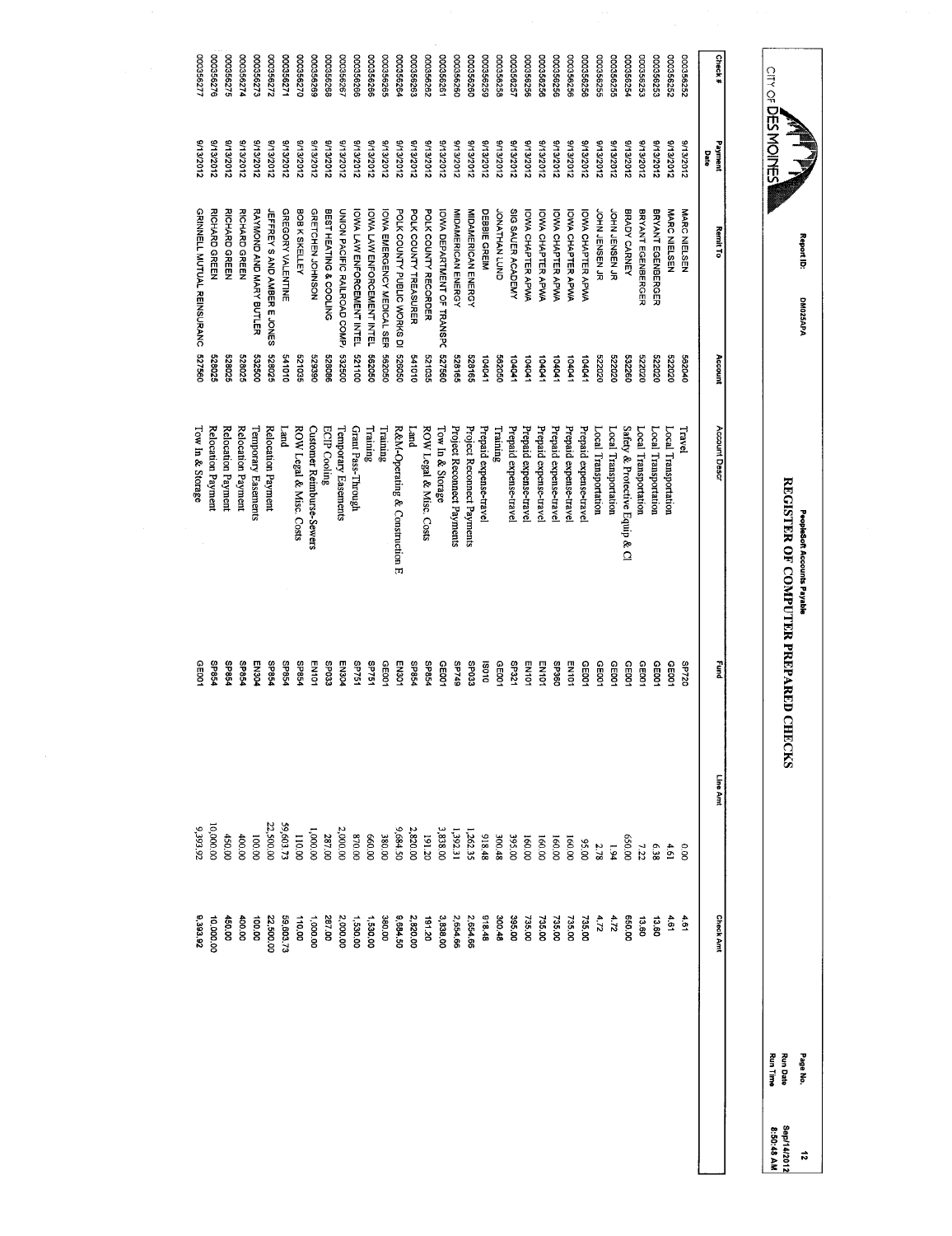| 000356277                  | 000356275          | 000356274                                                                                                                | 000356273                                                                | 2/2988000          | 00035627                           | 00035627C     | 000356269                 | 000356268              | 000356267           | 000356266                    | 000356266                  | 000356265                  | 000356264                                    | 000356263                  | 292992000            | 00035626                | 000356260                         | 000356260                  | 52992000               | 000356258            | 00035625               | 000356256              | 000356256                | 000356256         | 000356256                | 000356256                | 000356255      | 000356255            | 000356254            | 00035625:                      | 00035625             | 000356252            | 000356252     |      | Check#           |
|----------------------------|--------------------|--------------------------------------------------------------------------------------------------------------------------|--------------------------------------------------------------------------|--------------------|------------------------------------|---------------|---------------------------|------------------------|---------------------|------------------------------|----------------------------|----------------------------|----------------------------------------------|----------------------------|----------------------|-------------------------|-----------------------------------|----------------------------|------------------------|----------------------|------------------------|------------------------|--------------------------|-------------------|--------------------------|--------------------------|----------------|----------------------|----------------------|--------------------------------|----------------------|----------------------|---------------|------|------------------|
| 8/13/2012                  |                    | 213/2012                                                                                                                 | 3/13/2012                                                                | 3/13/2012          | 3/13/2012                          | 3/13/2012     | 21322012                  | 3/13/2012              | <b>SIOSSELS</b>     | 8/13/2012                    | 8/13/2012                  | 8/13/2012                  | 8/13/2012                                    | 8/13/2012                  | <b>S/13/2012</b>     | 5/13/2012               | 2102/81/6                         | 21322012                   | 3/13/2012              | 3/13/2012            | 3/13/2012              | 8/13/2012              | <b>S/13/2012</b>         | <b>S/13/2012</b>  | 2102/81/6                | 213/2012                 | 8/13/2012      | 3/13/2012            | 3/13/2012            | 3/13/2012                      | 3/13/2012            | 3/13/2012            | 3/13/2012     | Date | Payment          |
| GRINNELL MUTUAL REINSURANC |                    | RICHARD GREEN                                                                                                            | RAYMOND AND MARY BUTLER                                                  |                    | GREGORY VALENTINE                  | BOB K SKELLEY | <b>GRETCHEN JOHNSON</b>   | BEST HEATING & COOLING |                     |                              |                            |                            |                                              | POLK COUNTY TREASURER      | POLK COUNTY RECORDER |                         | MIDAMERICAN ENERGY                | MIDAMERICAN ENERGY         | DEBBIE GREIM           | <b>GNOT NAHTANOL</b> | SIG SAUER ACADEMY      | IOWA CHAPTER APWA      | <b>IOWA CHAPTER APWA</b> | IOWA CHAPTER APWA | <b>IOWA CHAPTER APWA</b> | <b>IOWA CHAPTER APWA</b> | JOHN JENSEN JR | JOHN JENSEN JR       | BRADY CARNEY         | BRYANT EGENBERGER              | BRYANT EGENBERGER    | MARC NIELSEN         | MARC NIELSEN  |      | Remit To         |
| 099/29                     |                    | 528025                                                                                                                   | 009289                                                                   | 528025             | 01019                              | 521035        | 529390                    | 528086                 | 532500              | 001139                       | 093090                     | 090299                     | 526050                                       | 010179                     | 521035               | 527560                  | 528165                            | 528165                     | 104041                 | 362050               | 104041                 | 104041                 | 104041                   | 10401             | 104041                   | 10404                    | 023229         | 522020               | 532260               | 023230                         | 522020               | 522020               | 562040        |      | Account          |
|                            | Relocation Payment | Relocation Payment                                                                                                       | Temporary Easements                                                      | Relocation Payment | [and                               |               | Customer Reimburse-Sewers | <b>ECIP Cooling</b>    | Temporary Easements | Grant Pass-Through           | Training                   |                            | R&M-Operating & Construction E               | pue <sub>T</sub>           |                      | Tow In & Storage        | Project Reconnect Payments        | Project Reconnect Payments | Prepaid expense-travel | Training             | Prepaid expense-travel | Prepaid expense-travel | Prepaid expense-travel   |                   |                          | Prepaid expense-trave    |                |                      |                      |                                |                      | Local Transportation | Travel        |      | Account Descr    |
| GE00                       |                    | <b>P9824</b>                                                                                                             | EN304                                                                    | <b>PS8dS</b>       | <b>SP854</b>                       | <b>P98dS</b>  | EN101                     | SP033                  | EN304               | <b>SP751</b>                 | SP751                      | CE001                      | EN301                                        | <b>SP854</b>               | <b>PS924</b>         | CE001                   | 6t/dS                             | <b>ECOdS</b>               | 010SI                  | GE001                | LZEdS                  | <b>EN101</b>           | EN101                    | <b>096dS</b>      | EN101                    | GE001                    | GE001          | CEDO1                | CEDO1                | 06101                          | <b>GE001</b>         | GE001                | 02/dS         |      | pung<br>E        |
| 9,393,92                   |                    | 400.00                                                                                                                   | 100.00                                                                   | 22,500.00          | 59,603.72                          | 110.00        | 1,000.00                  | 287.00                 | 2,000.00            | 00'028                       | 00'099                     | 380.00                     | 9,684.50                                     | 2,820.00                   | 191.20               | 3,838.00                |                                   |                            | 918.48                 | 300.48               | 395.00                 | 160.00                 | 160.00                   | 160.00            | 160.00                   | 00'56                    | 2.78           | 1.94                 | 00'059               | 7.22                           | 6.38                 | 4.61                 | $\frac{8}{2}$ |      | Line Amt         |
| 0,393.92                   |                    | 400.00                                                                                                                   | 100.00                                                                   | 2,500.00           | 59,603.73                          | 110.00        | 1,000.00                  | 287.00                 | 2,000.00            | 1,530.00                     | 1,530.00                   | 380.00                     | 0.684.50                                     | 2,820.00                   | 191.20               | 3,838.00                | 2,654.66                          | 2,654.66                   | 918.48                 | 300.48               |                        | 735.00                 | 735.00                   | 735.00            |                          | 735.00                   | $\frac{1}{2}$  | 4.72                 | 650.00               | 13.60                          | 13.60                | 1.61                 | $\frac{4}{9}$ |      | <b>Check Ant</b> |
|                            |                    | 000356276<br>9/13/2012<br><b>RICHARD GREEN</b><br>528025<br>Relocation Payment<br><b>SP854</b><br>10,000.00<br>10,000.00 | S/13/2012<br>RICHARD GREEN<br>528025<br><b>SP854</b><br>450.00<br>450.00 |                    | <b>JEFFREY S AND AMBER E JONES</b> |               | ROW Legal & Misc. Costs   |                        |                     | UNION PACIFIC RAILROAD COMP. | IOWA LAW ENFORCEMENT INTEL | IOWA LAW ENFORCEMENT INTEL | <b>OWA EMERGENCY MEDICAL SER</b><br>Training | POLK COUNTY PUBLIC WORKS D |                      | ROW Legal & Misc. Costs | <b>IOWA DEPARTMENT OF TRANSPC</b> |                            | 1,262.35<br>1,392.31   |                      |                        | 395.00                 |                          |                   | Prepaid expense-trave    | Prepaid expense-travel   | 735.00         | Local Transportation | Local Transportation | Safety & Protective Equip & Cl | Local Transportation | Local Transportation |               |      |                  |

Report ID: DM025APA DM025APA

CITY OF DES MOINES

Propiesoft Accounts Payable<br>REGISTER OF COMPUTER PREPARED CHECKS REGISTER OF COMPUTER PREPARED CHECKS PeopleSoft Accounts Payable

Page No. 12<br>Sep14/2012<br>8:50:48 AM<br>8:50:48 AM Run Date Sep/14/2012 Run Time 8:50:48 AM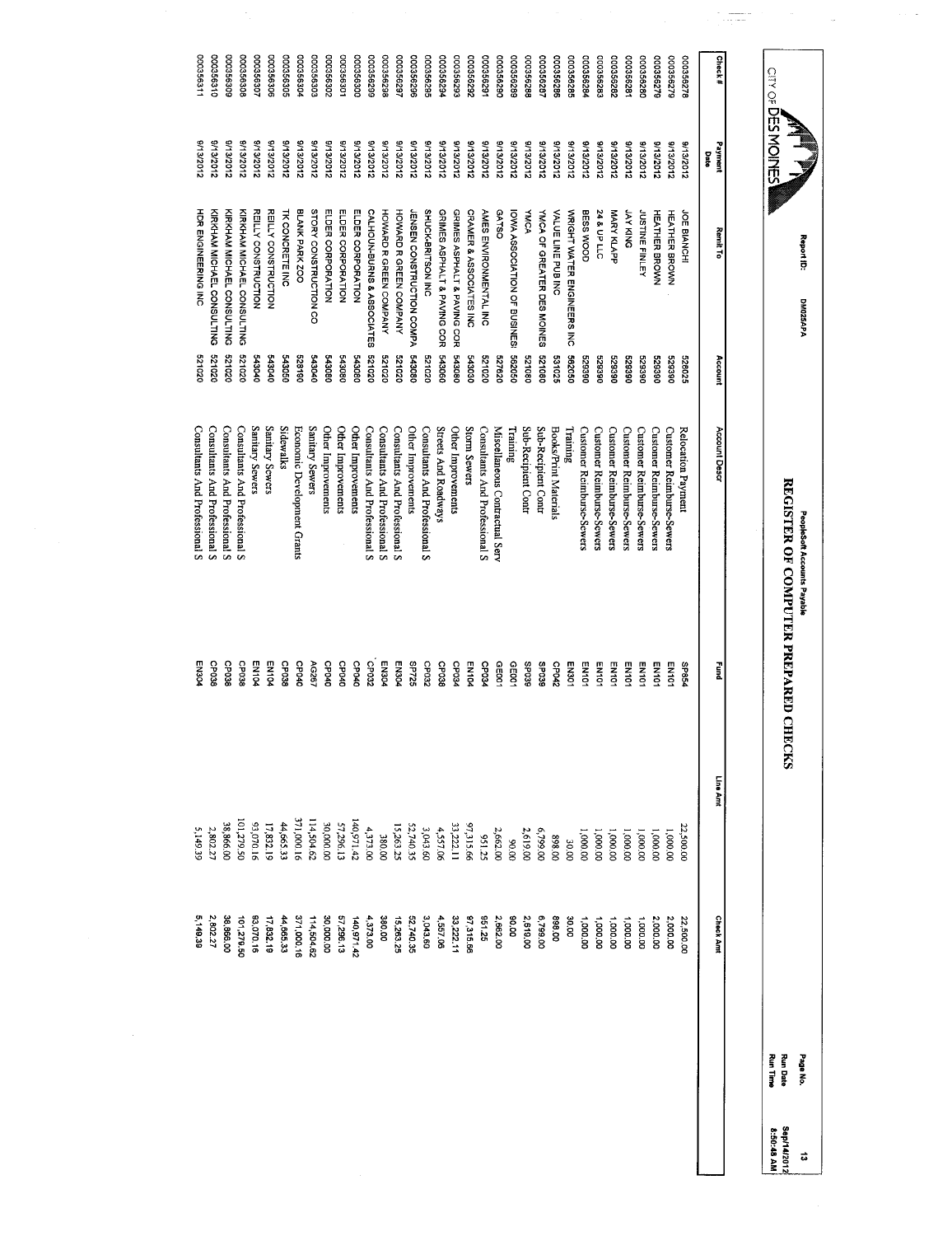| Carver DES MODIFFS    |                        | Report ID:<br>DM025APA                 |                  | REGISTER OF COMPUTER PREPARED CHECKS<br>PeopleSoft Accounts Payable |                       |                    |                    | <b>Run Time</b><br><b>Run Date</b><br>Page No. | Sep/14/2012<br>8:50:48 AM<br>ದ |
|-----------------------|------------------------|----------------------------------------|------------------|---------------------------------------------------------------------|-----------------------|--------------------|--------------------|------------------------------------------------|--------------------------------|
|                       |                        |                                        |                  |                                                                     |                       |                    |                    |                                                |                                |
| Check#                | Payment<br>Date        | Remit To                               | Account          | Account Descr                                                       | Fund                  | Line Amt           | <b>Check Amt</b>   |                                                |                                |
| 875956278             | 81302012               | JOE BIANCHI                            | 528025           | Relocation Payment                                                  | <b>PS8dS</b>          | 22,500.00          | 22,500.00          |                                                |                                |
| 000356279             | 3/13/2012              | <b>HEATHER BROWN</b>                   | 088829           | Customer Reimburse-Sewers                                           | <b>EN101</b>          | 1,000.00           | 2,000.00           |                                                |                                |
| 000356279             | <b>S/13/2012</b>       | <b>HEATHER BROWN</b>                   | 068629           | Customer Reimburse-Sewers                                           | EN101                 | 1,000.00           | 2,000.00           |                                                |                                |
| 000356280             | 8/13/2012              | <b>JUSTINE FINLEY</b>                  | 068629           | Customer Reunburse-Sewers                                           | EN101                 | 00.000,1           | 1,000.00           |                                                |                                |
| 00035628              | <b>S/13/2012</b>       | <b>JAY KING</b>                        | 529390           | <b>Customer Reimburse-Sewers</b>                                    | EN101                 | 1,000.00           | 1,000.00           |                                                |                                |
| 200356282             | 8/13/2012              | <b>MARY KLAPP</b>                      | 529390           | Customer Reimburse-Sewers                                           | EN101                 | 1,000.00           | 1,000.00           |                                                |                                |
| 282996000             | 8/13/2012              | 24 & UP LLC                            | 062679           | <b>Customer Reimburse-Sewers</b>                                    | <b>EN101</b>          | 1,000.00           | 1,000.00           |                                                |                                |
| 00035628              | 8/13/2012              | BESS WOOD                              | 062629           | <b>Customer Reimburse-Sewers</b>                                    | EN101                 | 1,000.00           | 1,000.00           |                                                |                                |
| 00035628              | <b>S/13/2012</b>       | WRIGHT WATER ENGINEERS INC             | 090299           | Training                                                            | EN301                 | 30.00              | 30.00              |                                                |                                |
| 000356286             | 2132212                | VALUE LINE PUB INC                     | 531025           | Books/Print Materials                                               | CP042                 | 00'868             | 00'868             |                                                |                                |
| 000356287             | 8/13/2012              | YMCA OF GREATER DES MOINES             | 080129           | Sub-Recipient Contr                                                 | <b>SEO3B</b>          | 6,799.00           | 0799.00            |                                                |                                |
| 00035628              | 8/13/2012              | <b>YMCA</b>                            | 521080           | Sub-Recipient Contr                                                 | 680dS                 | 2,619.00           | 2,619.00           |                                                |                                |
| 000356289             | 8/13/2012              | IOWA ASSOCIATION OF BUSINES:           | 562050           | Training                                                            | GE001                 | 00'06              | 00'06              |                                                |                                |
| 00035629<br>00035629C | 9/13/2012<br>9/13/2012 | <b>AMES ENVIRONMENTAL INC</b><br>GATSO | 021020<br>029225 | Miscellaneous Contractual Serv                                      | <b>PEOdO</b><br>GE001 | 2,662.00           | 521'56<br>2,662.00 |                                                |                                |
| 000356292             | 9/13/2012              | <b>CRAMER &amp; ASSOCIATES INC</b>     | 08030            | Storm Sewers<br>Consultants And Professional S                      | <b>EN104</b>          | 97,315.66<br>52125 | 97,315.66          |                                                |                                |
| 000356293             | 8/13/2012              | GRIMES ASPHALT & PAVING COR            | 543080           | Other Improvements                                                  | CPO34                 | 33,222.11          | 33,222.11          |                                                |                                |
| 000356294             | 8/13/2012              | GRIMES ASPHALT & PAVING COR            | 543060           | Streets And Roadways                                                | GP038                 | 4,557.06           | 4,557.06           |                                                |                                |
| 00035629              | 8/13/2012              | SHUCK-BRITSON INC                      | 020129           | Consultants And Professional S                                      | CP032                 | 3,043.60           | 3,043.60           |                                                |                                |
| 000356296             | 8/13/2012              | <b>JENSEN CONSTRUCTION COMPA</b>       | 543080           | Other Improvements                                                  | <b>95725</b>          | 52,740.35          | 52,740.35          |                                                |                                |
| 000356297             | 8/13/2012              | HOWARD R GREEN COMPANY                 | 020129           | Consultants And Professional S                                      | EN304                 | 15,263.25          | 15,263.25          |                                                |                                |
| 000356298             | 8/13/2012              | HOWARD R GREEN COMPANY                 | 020129           | Consultants And Professional S                                      | EN304                 | <b>380.00</b>      | 380.00             |                                                |                                |
| 000356299             | 9/13/2012              | CALHOUN-BURNS & ASSOCIATES             | 020129           | Consultants And Professional S                                      | CP032                 | 4,373.00           | 4,373.00           |                                                |                                |
| 00356300              | 8/13/2012              | ELDER CORPORATION                      | 543080           | Other Improvements                                                  | <b>CP040</b>          | 140,971.42         | 140,971.42         |                                                |                                |
| 000356301             | 8/13/2012              | ELDER CORPORATION                      | 543080           | Other Improvements                                                  | CPO4O                 | 57,296.13          | 57,296.13          |                                                |                                |
| 000356302             | 8/13/2012              | ELDER CORPORATION                      | 08081            | Other Improvements                                                  | CPO4O                 | 30,000.00          | 30,000.00          |                                                |                                |
| 000356302             | <b>S/13/2012</b>       | STORY CONSTRUCTION CO                  | 070019           | Sanitary Sewers                                                     | AG267                 | 114,504.62         | 114,504.62         |                                                |                                |
| 00035630<             | 9/13/2012              | BLANK PARK ZOO                         | 528190           | Economic Development Grants                                         | CPO4O                 | 371,000.16         | 371,000.16         |                                                |                                |
| 000356305             | 3/13/2012              | TK CONCRETE INC                        | 543050           | <b>Sidewalks</b>                                                    | CP038                 | 44,665.33          | 44,665.33          |                                                |                                |
| 000356306             | 9/13/2012              | REILY CONSTRUCTION                     | 010019           | Sanitary Sewers                                                     | EN104                 | 17,832.15          | 17,832.19          |                                                |                                |
| 000356307             | 8/13/2012              | REILY CONSTRUCTION                     | 543040           | Sanitary Sewers                                                     | EN104                 | 93,070.16          | 83,070.16          |                                                |                                |
| 000356306             | 8/13/2012              | KIRKHAM MICHAEL CONSULTING             | 020129           | Consultants And Professional S                                      | CP038                 | 101,279.50         | 101,279.50         |                                                |                                |
| 000356309             | 8/13/2012              | KIRKHAM MICHAEL CONSULTING             | 020129           | Consultants And Professional S                                      | CP038                 | 38,866.00          | 38,866.00          |                                                |                                |
| 000356310             | 8/13/2012              | KIRKHAM MICHAEL CONSULTING             | 020129           | Consultants And Professional S                                      | CP038                 | 2,802.27           | 2,802.27           |                                                |                                |
| 000356311             | 0/13/2012              | <b>HOR ENGINEERING INC.</b>            | 021030           | Consultants And Professional S                                      | EN304                 | 5,149.39           | 5,149.39           |                                                |                                |

 $\mathbb{R}^d$ 

 $\frac{1}{\sqrt{2\pi}\pi^2} \frac{1}{\sqrt{2\pi}} \frac{1}{\sqrt{2\pi}} \frac{1}{\sqrt{2\pi}} \frac{1}{\sqrt{2\pi}} \frac{1}{\sqrt{2\pi}} \frac{1}{\sqrt{2\pi}} \frac{1}{\sqrt{2\pi}} \frac{1}{\sqrt{2\pi}} \frac{1}{\sqrt{2\pi}} \frac{1}{\sqrt{2\pi}} \frac{1}{\sqrt{2\pi}} \frac{1}{\sqrt{2\pi}} \frac{1}{\sqrt{2\pi}} \frac{1}{\sqrt{2\pi}} \frac{1}{\sqrt{2\pi}} \frac{1}{\sqrt{2\pi}} \frac{1}{\sqrt{2\pi}}$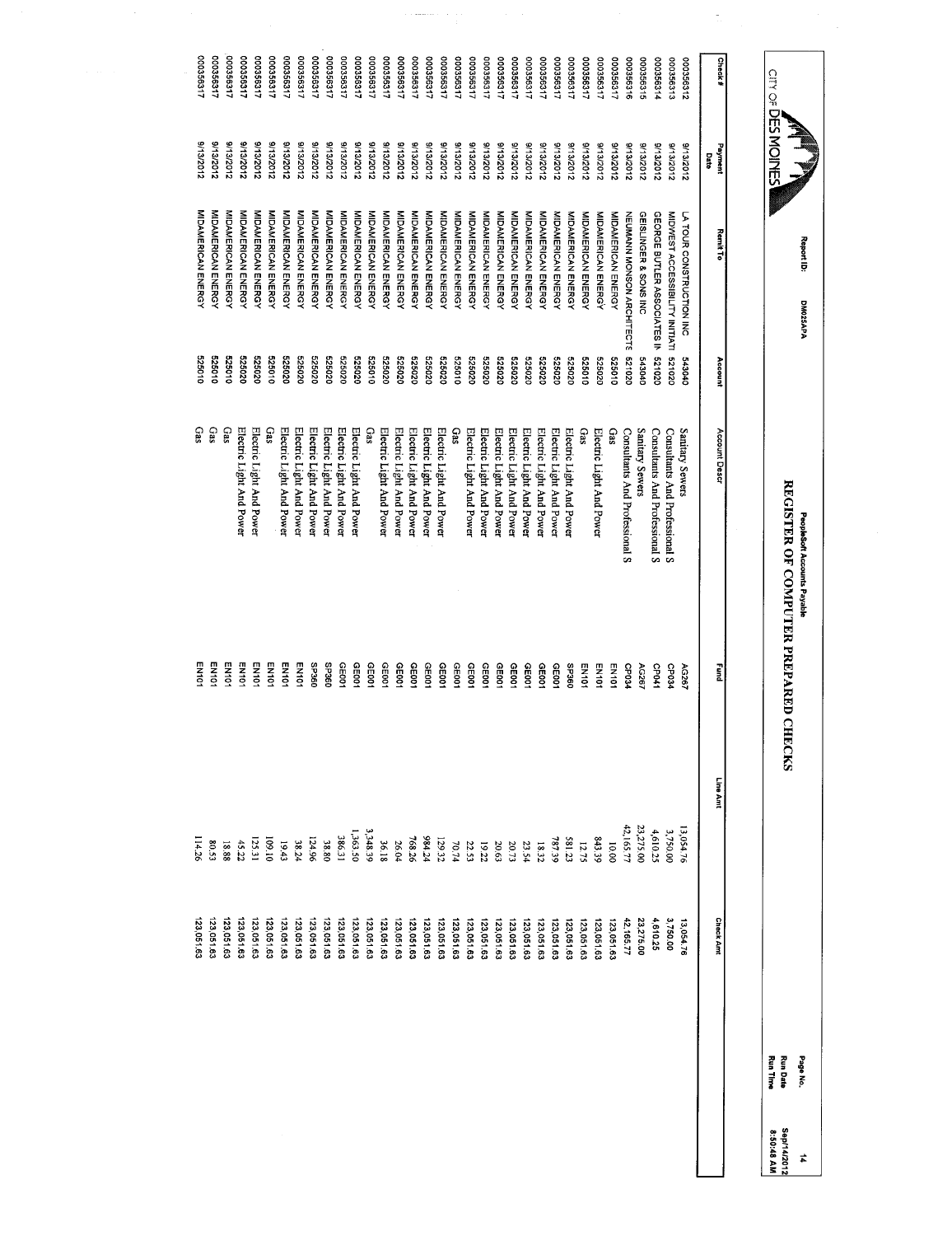| CITY OF DES MOINES     |                      | Report ID:<br>DM025APA                   |                  | REGISTER OF COMPUTER PREPARED CHE<br>PeopleSoft Accounts Payable |                | CKS            |                         | Run Date<br>Page No.<br><b>Run Time</b> | Sep/14/2012<br>8:50:48 AM<br># |
|------------------------|----------------------|------------------------------------------|------------------|------------------------------------------------------------------|----------------|----------------|-------------------------|-----------------------------------------|--------------------------------|
|                        |                      |                                          |                  |                                                                  |                |                |                         |                                         |                                |
| Check#                 | Payment<br>Date      | <b>Remit To</b>                          | Account          | Account Descr                                                    | nung<br>B      | Line Amt       | <b>Check Amt</b>        |                                         |                                |
| 000356312              | 8/13/2012            | LA TOUR CONSTRUCTION INC                 | 010819           | Sanitary Sewers                                                  | AG267          | 13,054.76      | 13,054.76               |                                         |                                |
| 000356313              | 8/13/2012            | MIDWEST ACCESSIBILITY INITIATI           | 020129           | Consultants And Professional S                                   | CP034          | 3,750.00       | 3,750.00                |                                         |                                |
| 000356314              | 3/13/2012            | GEORGE BUTLER ASSOCIATES IN              | 321020           | Consultants And Professional S                                   | CP041          | 4,610.25       | 4,610.25                |                                         |                                |
| 900356315              | 9/13/2012            | GEISLINGER & SONS INC                    | 043040           | Sanitary Sewers                                                  | <b>AG267</b>   | 23,275.0C      | 23,275.00               |                                         |                                |
| 000356316              | 8/13/2012            | <b>NEUMANN MONSON ARCHITECTS</b>         | 020129           | Consultants And Professional S                                   | CP034          | 42,165.77      | 42,165.77               |                                         |                                |
| 100356317              | 8/13/2012            | <b>MIDAMERICAN ENERGY</b>                | 010929           | Gas                                                              | <b>EN101</b>   | 10.00          | 123,051.63              |                                         |                                |
| 000356317              | 3/13/2012            | <b>MIDAMERICAN ENERGY</b>                | 525020           | Electric Light And Power                                         | <b>EN101</b>   | 843.39         | 123,051.63              |                                         |                                |
| 000356317              | 8/13/2012            | <b>MIDAMERICAN ENERGY</b>                | 525010           | Gas                                                              | <b>EN101</b>   | 12.75          | 123,051.63              |                                         |                                |
| 12993000               | 8/13/2012            | <b>MIDAMERICAN ENERGY</b>                | 325020           | Electric Light And Power                                         | <b>OBCdS</b>   | 581.23         | 123,051.63              |                                         |                                |
| 000356317              | 3/13/2012            | MIDAMERICAN ENERGY                       | 020929           | Electric Light And Power                                         | GE001          | 787.39         | 123,051.63              |                                         |                                |
| 126935917              | 8/13/2012            | MIDAMERICAN ENERGY                       | 020529           | Electric Light And Power                                         | GE001          | 18.32          | 123,051.63              |                                         |                                |
| 112992000              | 9/13/2012            | <b>NIDAMERICAN ENERGY</b>                | 525020           | Electric Light And Power                                         | GEOO1          | 23.54          | 123,051.63              |                                         |                                |
| 112992000<br>000356317 | 21322012<br>213/2012 | MIDAMERICAN ENERGY<br>MIDAMERICAN ENERGY | 325020<br>525020 | Electric Light And Power                                         | GE001          | 20.73          | 123,051.63              |                                         |                                |
| 100356317              | 9/13/2012            | <b>MIDAMERICAN ENERGY</b>                | 020929           | Electric Light And Power<br>Electric Light And Power             | GEOO1<br>GEDO1 | 20.63<br>19.22 | 123,051.63<br>23,051.63 |                                         |                                |
| 000356317              | <b>2132012</b>       | <b>MIDAMERICAN ENERGY</b>                | 525020           | Electric Light And Power                                         | CEDO1          | 22.53          | 23,051.63               |                                         |                                |
| 100356317              | <b>2/13/2012</b>     | MIDAMERICAN ENERGY                       | 525010           | Cas                                                              | CE001          | 70.74          | 123,051.63              |                                         |                                |
| 000356317              | S/13/2012            | <b>MIDAMERICAN ENERGY</b>                | 020929           | Electric Light And Power                                         | GE001          | 129.32         | 23,051.63               |                                         |                                |
| 000356317              | S/13/2012            | MIDAMERICAN ENERGY                       | 525020           | Electric Light And Power                                         | GE001          | 984.24         | 123,051.63              |                                         |                                |
| 000356317              | 8/13/2012            | MIDAMERICAN ENERGY                       | 525020           | Electric Light And Power                                         | GE001          | 768.26         | 123,051.63              |                                         |                                |
| 00035631               | <b>S/13/2012</b>     | MIDAMERICAN ENERGY                       | 020929           | Electric Light And Power                                         | GE001          | 26.04          | 123,051.63              |                                         |                                |
| 000356317              | 8/13/2012            | MIDAMERICAN ENERGY                       | 020929           | Electric Light And Power                                         | GE001          | 36.18          | 23,051.63               |                                         |                                |
| 176926000              | 8/13/2012            | <b>MIDAMERICAN ENERGY</b>                | 525010           | Gas                                                              | GE001          | 3,348.39       | 123,051.63              |                                         |                                |
| 112935000              | <b>S/13/2012</b>     | MIDAMERICAN ENERGY                       | 020929           | Electric Light And Power                                         | CE001          | 1,363.50       | 123,051.63              |                                         |                                |
| 000356317              | 8/13/2012            | <b>MIDAMERICAN ENERGY</b>                | 525020           | Electric Light And Power                                         | GE001          | 186.31         | 123,051.63              |                                         |                                |
| 000356317              | 8/13/2012            | <b>MIDAMERICAN ENERGY</b>                | 020929           | Electric Light And Power                                         | <b>OSCdS</b>   | 38.80          | 123,051.63              |                                         |                                |
| 000356317              | 9/13/2012            | MIDAMERICAN ENERGY                       | 020929           | Electric Light And Power                                         | <b>O9CdS</b>   | 124.96         | 123,051.63              |                                         |                                |
| 00035631               | 8/13/2012            | <b>MIDAMERICAN ENERGY</b>                | 020929           | Electric Light And Power                                         | <b>EN101</b>   | 38.24          | 23,051.63               |                                         |                                |
| 100356317              | 8/13/2012            | <b>MIDAMERICAN ENERGY</b>                | 525020           | Electric Light And Power                                         | <b>EN101</b>   | 19.43          | 23,051.63               |                                         |                                |
| 11899000               | 9/13/2012            | <b>MIDAMERICAN ENERGY</b>                | 525010           | Gas                                                              | <b>EN101</b>   | 01'601         | 23,051.63               |                                         |                                |
| 00035631               | 9/13/2012            | MIDAMERICAN ENERGY                       | 225020           | Electric Light And Power                                         | <b>EN101</b>   | 125.31         | 123,051.63              |                                         |                                |
| 000356317              | 213226178            | MIDAMERICAN ENERGY                       | 325020           | Electric Light And Power                                         | EN101          | 45.22          | 123,051.63              |                                         |                                |
| 000356317              | S/13/2012            | <b>MIDAMERICAN ENERGY</b>                | 525010           | Gas                                                              | EN101          | 18.88          | 23,051.63               |                                         |                                |
| 000356317              | 8/13/2012            | MIDAMERICAN ENERGY                       | 010929           | GaS                                                              | EN101          | £508           | 123,051.63              |                                         |                                |
| 000356317              | 8/13/2012            | MIDAMERICAN ENERGY                       | 525010           | Gas                                                              | <b>EN101</b>   | 114.26         | 123,051.63              |                                         |                                |

 $\begin{aligned} \mathcal{L}_{\text{infinite}}(\mathcal{L}_{\text{in}}(\mathcal{L}_{\text{out}})) \\ &\geq 0. \end{aligned}$ 

l,

 $\frac{1}{10}$